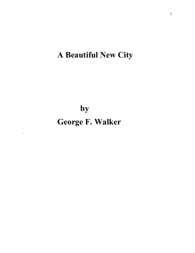# **A Beautiful New City**

**by George F. Walker**

*.*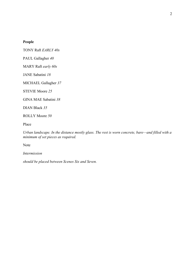# **People**

TONY Raft *EARLY 40s*

PAUL Gallagher *40*

MARY Raft *early 60s*

JANE Sabatini *18*

MICHAEL Gallagher *37*

STEVIE Moore *25*

GINA MAE Sabatini *38*

DIAN Black *35*

ROLLY Moore *50*

Place

*Urban landscape. In the distance mostly glass. The rest is worn concrete, bare—and filled with a minimum of set pieces as required.*

Note

*Intermission* 

*should be placed between Scenes Six and Seven.*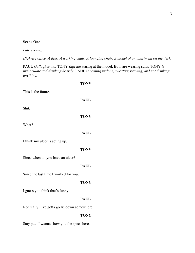# **Scene One**

*Late evening.*

This is the future.

Shit.

What?

*Highrise office. A desk. A working chair. A lounging chair. A model of an apartment on the desk.*

PAUL *Gallagher and* TONY *Raft* are staring at the model. Both are wearing suits. TONY *is immaculate and drinking heavily.* PAUL *is coming undone, sweating swaying, and not drinking anything.* 

**TONY PAUL TONY PAUL** I think my ulcer is acting up. **TONY** Since when do you have an ulcer? **PAUL** Since the last time I worked for you. **TONY** I guess you think that's funny. **PAUL** Not really. I've gotta go lie down somewhere. **TONY** Stay put. I wanna show you the specs here.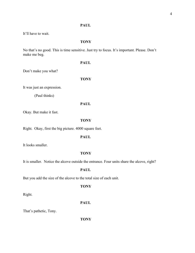# **PAUL**

It'll have to wait.

# **TONY**

No that's no good. This is time sensitive. Just try to focus. It's important. Please. Don't make me beg.

### **PAUL**

Don't make you what?

**TONY**

It was just an expression.

(Paul thinks)

# **PAUL**

Okay. But make it fast.

# **TONY**

Right. Okay, first the big picture. 4000 square feet.

# **PAUL**

It looks smaller.

# **TONY**

It is smaller. Notice the alcove outside the entrance. Four units share the alcove, right?

# **PAUL**

But you add the size of the alcove to the total size of each unit.

# **TONY**

Right.

**PAUL**

That's pathetic, Tony.

**TONY**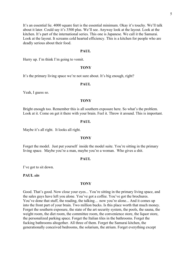It's an essential lie. 4000 square feet is the essential minimum. Okay it's touchy. We'll talk about it later. Could say it's 3500 plus. We'll see. Anyway look at the layout. Look at the kitchen. It's part of the international series. This one is Japanese. We call it the Samurai. Look at the layout. It screams cold hearted efficiency. This is a kitchen for people who are deadly serious about their food.

#### **PAUL**

Hurry up. I'm think I'm going to vomit.

#### **TONY**

It's the primary living space we're not sure about. It's big enough, right?

### **PAUL**

Yeah, I guess so.

#### **TONY**

Bright enough too. Remember this is all southern exposure here. So what's the problem. Look at it. Come on get it there with your brain. Feel it. Throw it around. This is important.

#### **PAUL**

Maybe it's all right. It looks all right.

### **TONY**

Forget the model. Just put yourself inside the model suite. You're sitting in the primary living space. Maybe you're a man, maybe you're a woman. Who gives a shit.

### **PAUL**

I've got to sit down.

#### **PAUL** *sits*

### **TONY**

Good. That's good. Now close your eyes... You're sitting in the primary living space, and the sales guys have left you alone. You've got a coffee. You've got the brochures. You've done that stuff, the reading, the talking… now you're alone... And it comes up into the front part of your brain. Two million bucks. Is this place worth that much money. Forget the southern exposure, the state of the art security system, the pools, the sauna, the weight room, the diet room, the committee room, the convenience store, the liquor store, the personalized parking space. Forget the Italian tiles in the bathrooms. Forget the fucking bathrooms altogether. All three of them. Forget the Samurai kitchen, the generationally conceived bedrooms, the solarium, the atrium. Forget everything except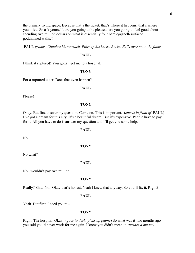the primary living space. Because that's the ticket, that's where it happens, that's where you...live. So ask yourself, are you going to be pleased, are you going to feel good about spending two million dollars on what is essentially four bare eggshell-surfaced goddamned walls?!

PAUL *groans. Clutches his stomach. Pulls up his knees. Rocks. Falls over on to the floor.*

### **PAUL**

I think it ruptured! You gotta...get me to a hospital.

### **TONY**

For a ruptured ulcer. Does that even happen?

### **PAUL**

Please!

#### **TONY**

Okay. But first answer my question. Come on. This is important. (*kneels in front of* PAUL) I've got a dream for this city. It's a beautiful dream. But it's expensive. People have to pay for it. All you have to do is answer my question and I'll get you some help.

#### **PAUL**

No.

# **TONY**

No what?

#### **PAUL**

No...wouldn't pay two million.

### **TONY**

Really? Shit. No. Okay that's honest. Yeah I knew that anyway. So you'll fix it. Right?

### **PAUL**

Yeah. But first I need you to--

#### **TONY**

Right. The hospital. Okay. (*goes to desk; picks up phone*) So what was it-two months agoyou said you'd never work for me again. I knew you didn't mean it. *(pushes a buzzer)*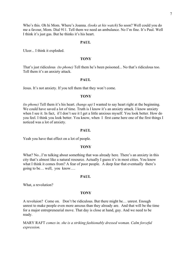Who's this. Oh hi Mom. Where's Joanna. *(looks at his watch*) So soon? Well could you do me a favour, Mom. Dial 911. Tell them we need an ambulance. No I'm fine. It's Paul. Well I think it's just gas. But he thinks it's his heart.

### **PAUL**

Ulcer... I think it exploded.

### **TONY**

That's just ridiculous *(to phone)* Tell them he's been poisoned... No that's ridiculous too. Tell them it's an anxiety attack.

### **PAUL**

Jesus. It's not anxiety. If you tell them that they won't come.

#### **TONY**

*(to phone)* Tell them it's his heart. *(hangs up)* I wanted to say heart right at the beginning. We could have saved a lot of time. Truth is I know it's an anxiety attack. I know anxiety when I see it. In fact, if I don't see it I get a little anxious myself. You look better. How do you feel. I think you look better. You know, when I first came here one of the first things I noticed was a lot of anxiety.

### **PAUL**

Yeah you have that effect on a lot of people.

#### **TONY**

What? No...I'm talking about something that was already here. There's an anxiety in this city that's almost like a natural resource. Actually I guess it's in most cities. You know what I think it comes from? A fear of poor people. A deep fear that eventually there's going to be… well, you know….

#### **PAUL**

What, a revolution?

#### **TONY**

A revoluion? Come on. Don't be ridiculous. But there might be… unrest. Enough unrest to make people even more anxous than they already are. And that will be the time for a major entrepreneurial move. That day is close at hand, guy. And we need to be ready.

MARY RAFT *comes in. she is a striking fashionably dressed woman. Calm forceful expression.*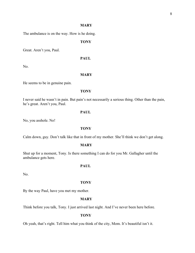# **MARY**

The ambulance is on the way. How is he doing.

# **TONY**

Great. Aren't you, Paul.

# **PAUL**

No.

### **MARY**

He seems to be in genuine pain.

#### **TONY**

I never said he wasn't in pain. But pain's not necessarily a serious thing. Other than the pain, he's great. Aren't you, Paul.

### **PAUL**

No, you asshole. No!

# **TONY**

Calm down, guy. Don't talk like that in front of my mother. She'll think we don't get along.

#### **MARY**

Shut up for a moment, Tony. Is there something I can do for you Mr. Gallagher until the ambulance gets here.

# **PAUL**

No.

#### **TONY**

By the way Paul, have you met my mother.

# **MARY**

Think before you talk, Tony. I just arrived last night. And I've never been here before.

### **TONY**

Oh yeah, that's right. Tell him what you think of the city, Mom. It's beautiful isn't it.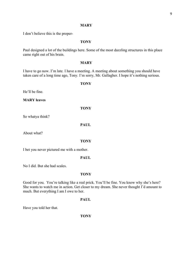### **MARY**

I don't believe this is the proper-

# **TONY**

Paul designed a lot of the buildings here. Some of the most dazzling structures in this place came right out of his brain.

### **MARY**

I have to go now. I'm late. I have a meeting. A meeting about something you should have taken care of a long time ago, Tony. I'm sorry, Mr. Gallagher. I hope it's nothing serious.

# **TONY**

He'll be fine.

**MARY leaves**

**TONY**

So whatya think?

**PAUL**

About what?

### **TONY**

I bet you never pictured me with a mother.

### **PAUL**

No I did. But she had scales.

# **TONY**

Good for you. You're talking like a real prick. You'll be fine. You know why she's here? She wants to watch me in action. Get closer to my dream. She never thought I'd amount to much. But everything I am I owe to her.

### **PAUL**

Have you told her that.

**TONY**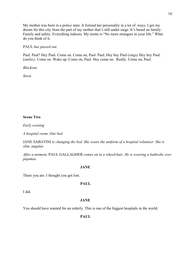My mother was born in a police state. It formed her personality in a lot of ways. I got my dream for this city from the part of my mother that's still under siege. It's based on family. Family and safety. Everything indoors. My motto is "No more strangers in your life." What do you think of it.

# PAUL *has passed out.*

Paul. Paul? Hey Paul. Come on. Come on, Paul. Paul. Hey hey Paul (*sings)* Hey hey Paul. (*smiles)*. Come on. Wake up. Come on, Paul. Hey come on. Really. Come on, Paul.

*Blackout.*

*Siren.*

# **Scene Two**

*Early evening*

*A hospital room. One bed.*

JANE SABATINI *is changing the bed. She wears the uniform of a hospital volunteer. She is slim, angular.*

*After a moment,* PAUL GALLAGHER *comes on in a wheelchair. He is wearing a bathrobe over pajamas.* 

### **JANE**

There you are. I thought you got lost.

# **PAUL**

I did.

# **JANE**

You should have wanted for an orderly. This is one of the biggest hospitals in the world.

**PAUL**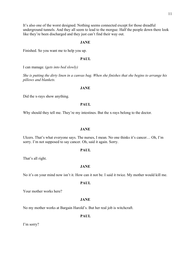It's also one of the worst designed. Nothing seems connected except for those dreadful underground tunnels. And they all seem to lead to the morgue. Half the people down there look like they're been discharged and they just can't find their way out.

### **JANE**

Finished. So you want me to help you up.

### **PAUL**

I can manage. (*gets into bed slowly)*

*She is putting the dirty linen in a canvas bag. When she finishes that she begins to arrange his pillows and blankets.*

### **JANE**

Did the x-rays show anything.

# **PAUL**

Why should they tell me. They're my intestines. But the x-rays belong to the doctor.

### **JANE**

Ulcers. That's what everyone says. The nurses, I mean. No one thinks it's cancer… Oh, I'm sorry. I'm not supposed to say cancer. Oh, said it again. Sorry.

### **PAUL**

That's all right.

#### **JANE**

No it's on your mind now isn't it. How can it not be. I said it twice. My mother would kill me.

# **PAUL**

Your mother works here?

### **JANE**

No my mother works at Bargain Harold's. But her real job is witchcraft.

# **PAUL**

I'm sorry?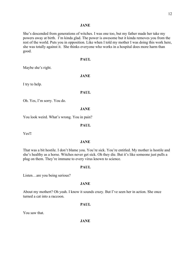# **JANE**

She's descended from generations of witches. I was one too, but my father made her take my powers away at birth. I'm kinda glad. The power is awesome but it kinda removes you from the rest of the world. Puts you in opposition. Like when I told my mother I was doing this work here, she was totally against it. She thinks everyone who works in a hospital does more harm than good.

# **PAUL**

Maybe she's right.

**JANE**

I try to help.

### **PAUL**

Oh. Yes, I'm sorry. You do.

### **JANE**

You look weird. What's wrong. You in pain?

**PAUL**

Yes!**!**

### **JANE**

That was a bit hostile. I don't blame you. You're sick. You're entitled. My mother is hostile and she's healthy as a horse. Witches never get sick. Oh they die. But it's like someone just pulls a plug on them. They're immune to every virus known to science.

#### **PAUL**

Listen…are you being serious?

### **JANE**

About my mothert? Oh yeah. I know it sounds crazy. But I've seen her in action. She once turned a cat into a raccoon.

# **PAUL**

You saw that.

**JANE**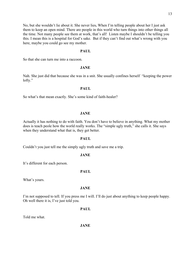No, but she wouldn't lie about it. She never lies**.** When I'm telling people about her I just ask them to keep an open mind. There are people in this world who turn things into other things all the time. Not many people see them at work, that's all! Listen maybe I shouldn't be telling you this. I mean this is a hospital for God's sake. But if they can't find out what's wrong with you here, maybe you could go see my mother.

# **PAUL**

So that she can turn me into a raccoon.

### **JANE**

Nah. She just did that because she was in a snit. She usually confines herself "keeping the power lofty."

# **PAUL**

So what's that mean exactly. She's some kind of faith-healer?

### **JANE**

Actually it has nothing to do with faith. You don't have to believe in anything. What my mother does is teach peole how the world really works. The "simple ugly truth," she calls it. She says when they understand what that is, they get better.

### **PAUL**

Couldn't you just tell me the simply ugly truth and save me a trip.

# **JANE**

It's different for each person.

#### **PAUL**

What's yours.

### **JANE**

I'm not supposed to tell. If you press me I will. I'll do just about anything to keep people happy. Oh well there it is, I've just told you.

### **PAUL**

Told me what.

### **JANE**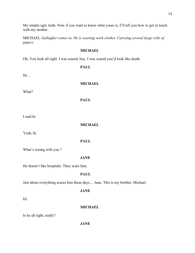My simple ugly truth. Now if you want to know what yours is, I'll tell you how to get in touch with my mother.

MICHAEL *Gallagher comes in. He is wearing work clothes. Carrying several large rolls of papers.*

# **MICHAEL**

Oh. You look all right. I was scared, boy. I was scared you'd look like death.

**PAUL**

Hi…

**MICHAEL**

What?

**PAUL**

I said hi.

**MICHAEL** 

Yeah, hi.

**PAUL**

What's wrong with you ?

# **JANE**

He doesn't like hospitals. They scare him.

**PAUL**

Just about everything scares him these days... Jane. This is my brother, Michael.

**JANE** 

Hi.

# **MICHAEL**

Is he all right, really?

**JANE**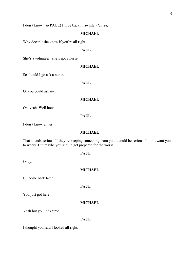I don't know. (*to* PAUL) I'll be back in awhile. (*leaves)*

# **MICHAEL**

Why doesn't she know if you're all right.

# **PAUL**

She's a volunteer. She's not a nurse.

#### **MICHAEL**

So should I go ask a nurse.

**PAUL** 

Or you could ask me.

# **MICHAEL**

Oh, yeah. Well how---

# **PAUL**

I don't know either.

# **MICHAEL**

That sounds serious. If they're keeping something from you it could be serious. I don't want you to worry. But maybe you should get prepared for the worst.

# **PAUL**

Okay.

### **MICHAEL**

I'll come back later.

# **PAUL**

You just got here.

### **MICHAEL**

Yeah but you look tired.

### **PAUL**

I thought you said I looked all right.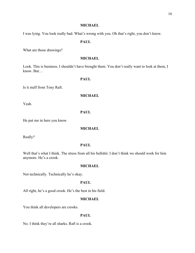I was lying. You look really bad. What's wrong with you. Oh that's right, you don't know.

# **PAUL**

What are those drawings?

# **MICHAEL**

Look. This is business. I shouldn't have brought them. You don't really want to look at them, I know. But…

# **PAUL**

Is it stuff from Tony Raft.

# **MICHAEL**

Yeah.

# **PAUL**

He put me in here you know.

# **MICHAEL**

Really?

# **PAUL**

Well that's what I think. The stress from all his bullshit. I don't think we should work for him anymore. He's a crook.

# **MICHAEL**

Not technically. Technically he's okay.

### **PAUL**

All right, he's a good crook. He's the best in his field.

# **MICHAEL**

You think all developers are crooks.

# **PAUL**

No. I think they're all sharks. Raft is a crook.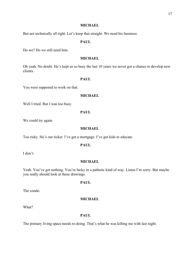But not technically all right. Let's keep that straight. We need his business.

### **PAUL**

Do we? Do we still need him.

# **MICHAEL**

Oh yeah. No doubt. He's kept us so busy the last 10 years we never got a chance to develop new clients.

# **PAUL**

You were supposed to work on that.

# **MICHAEL**

Well I tried. But I was too busy.

### **PAUL**

We could try again.

# **MICHAEL**

Too risky. He's our ticket. I've got a mortgage. I've got kids to educate.

### **PAUL**

I don't.

### **MICHAEL**

Yeah. You've got nothing. You're lucky in a pathetic kind of way. Listen I'm sorry. But maybe you really should look at these drawings.

### **PAUL**

The condo.

### **MICHAEL**

What?

### **PAUL**

The primary living space needs re-doing. That's what he was killing me with last night.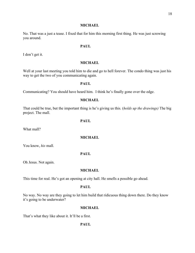No. That was a just a tease. I fixed that for him this morning first thing. He was just screwing you around.

# **PAUL**

I don't get it.

### **MICHAEL**

Well at your last meeting you told him to die and go to hell forever. The condo thing was just his way to get the two of you communicating again.

# **PAUL**

Communicating? You should have heard him. I think he's finally gone over the edge.

# **MICHAEL**

That could be true, but the important thing is he's giving us this. (*holds up the drawings)* The big project. The mall.

### **PAUL**

What mall?

# **MICHAEL**

You know, *his* mall.

# **PAUL**

Oh Jesus. Not again.

### **MICHAEL**

This time for real. He's got an opening at city hall. He smells a possible go ahead.

### **PAUL**

No way. No way are they going to let him build that ridicuous thing down there. Do they know it's going to be underwater?

# **MICHAEL**

That's what they like about it. It'll be a first.

### **PAUL**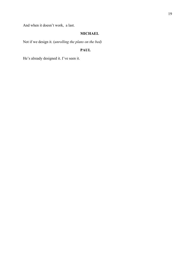And when it doesn't work, a last.

# **MICHAEL**

Not if we design it. (*unrolling the plans on the bed)*

# **PAUL**

He's already designed it. I've seen it.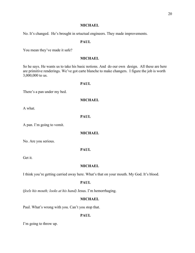No. It's changed. He's brought in srtuctual engineers. They made improvements.

### **PAUL**

You mean they've made it safe?

# **MICHAEL**

So he says. He wants us to take his basic notions. And do our own design. All these are here are primitive renderings. We've got carte blanche to make changers. I figure the job is worth 3,000,000 to us.

# **PAUL**

There's a pan under my bed.

# **MICHAEL**

A what.

**PAUL** 

A pan. I'm going to vomit.

# **MICHAEL**

No. Are you serious.

# **PAUL**

Get it.

# **MICHAEL**

I think you're getting carried away here. What's that on your mouth. My God. It's blood.

### **PAUL**

(*feels his mouth; looks at his hand)* Jesus. I'm hemorrhaging.

### **MICHAEL**

Paul. What's wrong with you. Can't you stop that.

# **PAUL**

I'm going to throw up.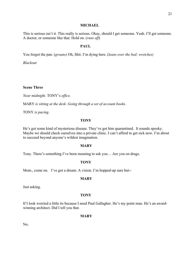This is serious isn't it. This really is serious. Okay, should I get someone. Yeah. I'll get someone. A doctor, or someone like that. Hold on. (*runs off*)

# **PAUL**

You forgot the pan. (*groans)* Oh, Shit. I'm dying here. (*leans over the bed; wretches)*

*Blackout*

# **Scene Three**

*Near midnight.* TONY's *office.*

MARY *is sitting at the desk. Going through a set of account books.*

TONY *is pacing*.

# **TONY**

He's got some kind of mysterious disease. They've got him quarantined. It sounds spooky. Maybe we should check ourselves into a private clinic. I can't afford to get sick now. I'm about to succeed beyond anyone's wildest imagination.

### **MARY**

Tony. There's something I've been meaning to ask you… Are you on drugs.

# **TONY**

Mom., come on. I've got a dream. A vision. I'm hopped-up sure but--

#### **MARY**

Just asking.

# **TONY**

If I look worried a little its because I need Paul Gallagher. He's my point man. He's an awardwinning architect. Did I tell you that.

**MARY**

No.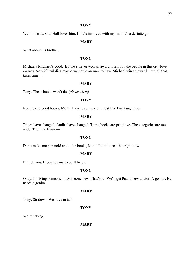### **TONY**

Well it's true. City Hall loves him. If he's involved with my mall it's a definite go.

### **MARY**

What about his brother.

# **TONY**

Michael? Michael's good. But he's never won an award. I tell you the people in this city love awards. Now if Paul dies maybe we could arrange to have Michael win an award—but all that takes time—

### **MARY**

Tony. These books won't do. (*closes them)*

# **TONY**

No, they're good books, Mom. They're set up right. Just like Dad taught me.

# **MARY**

Times have changed. Audits have changed. These books are primitive. The categories are too wide. The time frame—

# **TONY**

Don't make me paranoid about the books, Mom. I don't need that right now.

# **MARY**

I'm tell you. If you're smart you'll listen.

# **TONY**

Okay. I'll bring someone in. Someone new. That's it! We'll get Paul a new doctor. A genius. He needs a genius.

#### **MARY**

Tony. Sit down. We have to talk.

**TONY** 

We're taking.

**MARY**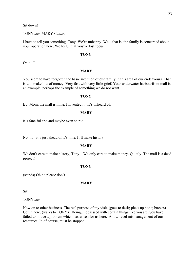Sit down!

TONY *sits,* MARY *stands*.

I have to tell you something, Tony. We're unhappy. We…that is, the family is concerned about your operation here. We feel…that you've lost focus.

### **TONY**

Oh no I-

### **MARY**

You seem to have forgotten the basic intention of our family in this area of our endeavours. That is…to make lots of money. Very fast with very little grief. Your underwater harbourfront mall is an example, perhaps the example of something we do not want.

### **TONY**

But Mom, the mall is mine. I invented it. It's unheard of.

# **MARY**

It's fanciful and and maybe even stupid.

No, no. it's just ahead of it's time. It'll make history.

### **MARY**

We don't care to make history, Tony. We only care to make money. Quietly. The mall is a dead project!

#### **TONY**

(stands) Oh no please don't-

# **MARY**

Sit!

TONY *sits.*

Now on to other business. The real purpose of my visit. (goes to desk; picks up hone; buzzes) Get in here. (walks to TONY) Being… obsessed with certain things like you are, you have failed to notice a problem which has arisen for us here. A low-level mismanagement of our resources. It, of course, must be stopped.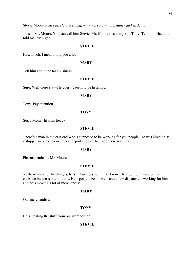Stevie Moore *comes in. He is a young, wiry, nervous man. Leather jacket. Jeans.*

This is Mr. Moore. You can call him Stevie. Mr. Moore this is my son Tony. Tell him what you told me last night.

### **STEVIE**

How much. I mean I told you a lot.

### **MARY**

Tell him about the taxi business.

# **STEVIE**

Sure. Well there's a—He doesn't seem to be listening.

# **MARY**

Tony. Pay attention.

### **TONY**

Sorry Mom. (lifts his head)

#### **STEVIE**

There's a man in the east end who's supposed to be working for you people. He was hired on as a shipper in one of your import export shops. The trade there is drugs

### **MARY**

Pharmaceuticals, Mr. Moore.

### **STEVIE**

Yeah, whatever. The thing is, he's in business for himself now. He's doing this incredible curbside business out of taxis. He's got a dozen drivers and a few dispatchers working for him and he's moving a lot of merchandise.

### **MARY**

Our merchandise.

### **TONY**

He's stealing the stuff from our warehouse?

### **STEVIE**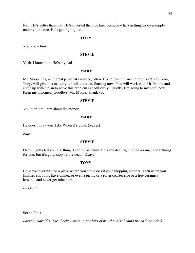Nah. He's better than that. He's diverted the pipe line. Somehow he's getting his own supply under your name. He's getting big too.

# **TONY**

You know him?

# **STEVIE**

Yeah. I know him. He's my dad.

# **MARY**

Mr. Moore has, with great personal sacrifice, offered to help us put an end to this activity. You, Tony, will give this matter your full attention. Starting now. You will work with Mr. Moore and come up with a plan to solve this problem expeditiously. Quietly, I'm going to my hotel now. Keep me informed. Goodbye, Mr. Moore. Thank you.

### **STEVIE**

You didn't tell him about the money.

### **MARY**

He doesn't pay you. I do. When it's done. (leaves)

*Pause*

### **STEVIE**

Okay. I gotta tell you one thing. I can't waste him. He's my dad, right. I can arrange a few things for you, but it's gotta stop before death. Okay?

# **TONY**

Have you ever wanted a place where you could do all your shopping indoors. Then when you finished shopping have dinner, or even a picnic or a roller coaster ride or a free ceramics' lesson…and never get rained on.

*Blackout*

### **Scene Four**

*Bargain Harold's. The checkout area. A few bins of merchandise behind the cashier's desk.*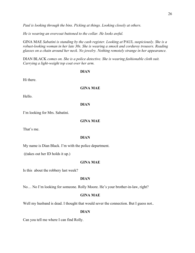*Paul is looking through the bins. Picking at things. Looking closely at others.*

*He is wearing an overcoat buttoned to the collar. He looks awful.*

GINA MAE *Sabatini is standing by the cash register. Looking at* PAUL *suspiciously. She is a robust-looking woman in her late 30s. She is wearing a smock and corduroy trousers. Reading glasses on a chain around her neck. No jewelry. Nothing remotely strange in her appearance.*

DIAN BLACK *comes on. She is a police detective. She is wearing fashionable cloth suit. Carrying a light-weight top coat over her arm.*

#### **DIAN**

Hi there.

# **GINA MAE**

Hello.

### **DIAN**

I'm looking for Mrs. Sabatini.

### **GINA MAE**

That's me.

# **DIAN**

My name is Dian Black. I'm with the police department.

((takes out her ID holds it up.)

# **GINA MAE**

Is this about the robbery last week?

### **DIAN**

No… No I'm looking for someone. Rolly Moore. He's your brother-in-law, right?

# **GINA MAE**

Well my husband is dead. I thought that would sever the connection. But I guess not..

# **DIAN**

Can you tell me where I can find Rolly.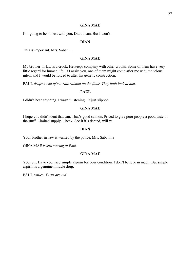# **GINA MAE**

I'm going to be honest with you, Dian. I can. But I won't.

# **DIAN**

This is important, Mrs. Sabatini.

# **GINA MAE**

My brother-in-law is a crook. He keeps company with other crooks. Some of them have very little regard for human life. If I assist you, one of them might come after me with malicious intent and I would be forced to alter his genetic construction.

PAUL *drops a can of cut-rate salmon on the floor. They both look at him.*

# **PAUL**

I didn't hear anything. I wasn't listening. It just slipped.

# **GINA MAE**

I hope you didn't dent that can. That's good salmon. Priced to give poor people a good taste of the stuff. Limited supply. Check. See if it's dented, will ya.

### **DIAN**

Your brother-in-law is wanted by the police, Mrs. Sabatini?

GINA MAE *is still staring at Paul.*

# **GINA MAE**

You, Sir. Have you tried simple aspirin for your condition. I don't believe in much. But simple aspirin is a genuine miracle drug.

PAUL *smiles. Turns around.*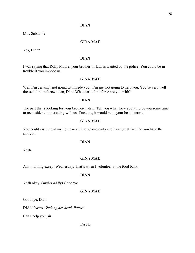# **DIAN**

Mrs. Sabatini?

# **GINA MAE**

Yes, Dian?

# **DIAN**

I was saying that Rolly Moore, your brother-in-law, is wanted by the police. You could be in trouble if you impede us.

# **GINA MAE**

Well I'm certainly not going to impede you,. I'm just not going to help you. You're very well dressed for a policewoman, Dian. What part of the force are you with?

# **DIAN**

The part that's looking for your brother-in-law. Tell you what, how about I give you some time to reconsider co-opersating with us. Trust me, it would be in your best interest.

### **GINA MAE**

You could visit me at my home next time. Come early and have breakfast. Do you have the address.

### **DIAN**

Yeah.

# **GINA MAE**

Any morning except Wednesday. That's when I volunteer at the food bank.

### **DIAN**

Yeah okay. (*smiles oddly*) Goodbye

### **GINA MAE**

Goodbye, Dian.

DIAN *leaves. Shaking her head. Pause/*

Can I help you, sir.

### **PAUL**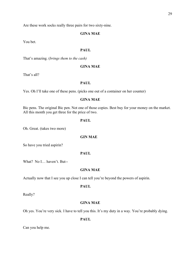Are these work socks really three pairs for two sixty-nine.

# **GINA MAE**

You bet.

# **PAUL**

That's amazing. (*brings them to the cash)*

### **GINA MAE**

That's all?

# **PAUL**

Yes. Oh I'll take one of these pens. (picks one out of a container on her counter)

# **GINA MAE**

Bic pens. The original Bic pen. Not one of those copies. Best buy for your money on the market. All this month you get three for the price of two.

### **PAUL**

Oh. Great. (takes two more)

# **GIN MAE**

So have you tried aspirin?

# **PAUL**

What? No I… haven't. But--

# **GINA MAE**

Actually now that I see you up close I can tell you're beyond the powers of aspirin.

# **PAUL**

Really?

# **GINA MAE**

Oh yes. You're very sick. I have to tell you this. It's my duty in a way. You're probably dying.

### **PAUL**

Can you help me.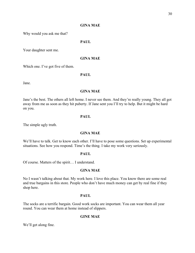# **GINA MAE**

Why would you ask me that?

# **PAUL**

Your daughter sent me.

# **GINA MAE**

Which one. I've got five of them.

# **PAUL**

Jane.

### **GINA MAE**

Jane's the best. The others all left home. I never see them. And they're really young. They all got away from me as soon as they hit puberty. If Jane sent you I'll try to help. But it might be hard on you.

# **PAUL**

The simple ugly truth.

# **GINA MAE**

We'll have to talk. Get to know each other. I'll have to pose some questions. Set up experimental situations. See how you respond. Time's the thing. I take my work very seriously.

### **PAUL**

Of course. Matters of the spirit… I understand.

### **GINA MAE**

No I wasn't talking about that. My work here. I love this place. You know there are some real and true bargains in this store. People who don't have much money can get by real fine if they shop here.

# **PAUL**

The socks are a terrific bargain. Good work socks are important. You can wear them all year round. You can wear them at home instead of slippers.

# **GINE MAE**

We'll get along fine.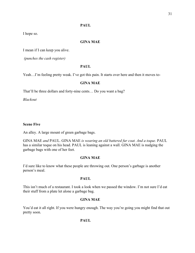# **PAUL**

I hope so.

# **GINA MAE**

I mean if I can keep you alive.

*(punches the cash register)*

# **PAUL**

Yeah...I'm feeling pretty weak. I've got this pain. It starts over here and then it moves to-

# **GINA MAE**

That'll be three dollars and forty-nine cents… Do you want a bag?

*Blackout*

# **Scene Five**

An alley. A large mount of green garbage bags.

GINA MAE *and* PAUL. GINA MAE *is wearing an old battered fur coat. And a toque.* PAUL has a similar toque on his head. PAUL is leaning against a wall. GINA MAE is nudging the garbage bags with one of her feet.

# **GINA MAE**

I'd sure like to know what these people are throwing out. One person's garbage is another person's meal.

# **PAUL**

This isn't much of a restaurant. I took a look when we passed the window. I'm not sure I'd eat their stuff from a plate let alone a garbage bag.

# **GINA MAE**

You'd eat it all right. If you were hungry enough. The way you're going you might find that out pretty soon.

**PAUL**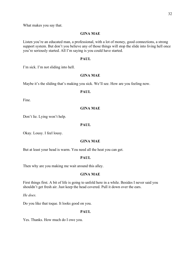What makes you say that.

# **GINA MAE**

Listen you're an educated man, a professional, with a lot of money, good connections, a strong support system. But don't you believe any of those things will stop the slide into living hell once you're seriously started. All I'm saying is you could have started.

# **PAUL**

I'm sick. I'm not sliding into hell.

# **GINA MAE**

Maybe it's the sliding that's making you sick. We'll see. How are you feeling now.

# **PAUL**

Fine.

# **GINA MAE**

Don't lie. Lying won't help.

# **PAUL**

Okay. Lousy. I feel lousy.

# **GINA MAE**

But at least your head is warm. You need all the heat you can get.

# **PAUL**

Then why are you making me wait around this alley.

# **GINA MAE**

First things first. A bit of life is going to unfold here in a while. Besides I never said you shouldn't get fresh air. Just keep the head covered. Pull it down over the ears.

*He does.*

Do you like that toque. It looks good on you.

# **PAUL**

Yes. Thanks. How much do I owe you.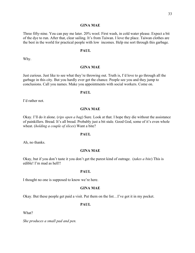### **GINA MAE**

Three fifty-nine. You can pay me later. 20% wool. First wash, in cold water please. Expect a bit of the dye to run. After that, clear sailing. It's from Taiwan. I love the place. Taiwan clothes are the best in the world for practical people with low incomes. Help me sort through this garbage.

### **PAUL**

Why.

### **GINA MAE**

Just curious. Just like to see what they're throwing out. Truth is, I'd love to go through all the garbage in this city. But you hardly ever get the chance. People see you and they jump to conclusions. Call you names. Make you appointments with social workers. Come on.

### **PAUL**

I'd rather not.

### **GINA MAE**

Okay. I'll do it alone. (*rips open a bag*) Sure. Look at that. I hope they die without the assistance of painkillers. Bread. It's all bread. Probably just a bit stale. Good God, some of it's even whole wheat. (*holding a couple of slices*) Want a bite?

### **PAUL**

Ah, no thanks.

#### **GINA MAE**

Okay, but if you don't taste it you don't get the purest kind of outrage. (*takes a bite*) This is edible! I'm mad as hell!!

#### **PAUL**

I thought no one is supposed to know we're here.

### **GINA MAE**

Okay. But these people get paid a visit. Put them on the list…I've got it in my pocket.

### **PAUL**

What?

*She produces a small pad and pen.*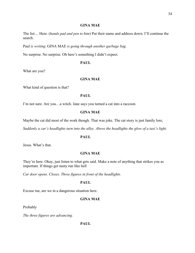# **GINA MAE**

The list… Here. (*hands pad and pen to him*) Put their name and address down. I'll continue the search.

Paul *is writing*. GINA MAE *is going through another garbage bag*.

No surprise. No surprise. Oh here's something I didn't expect.

### **PAUL**

What are you?

# **GINA MAE**

What kind of question is that?

# **PAUL**

I'm not sure. Are you…a witch. Jane says you turned a cat into a raccoon.

### **GINA MAE**

Maybe the cat did most of the work though. That was joke. The cat story is just family lore,

*Suddenly a car's headlights turn into the alley. Above the headlights the glow of a taxi's light.*

# **PAUL**

Jesus. What's that.

### **GINA MAE**

They're here. Okay, just listen to what gets said. Make a note of anything that strikes you as important. If things get nasty run like hell

*Car door opens. Closes. Three figures in front of the headlights.*

### **PAUL**

Excuse me, are we in a dangerous situation here.

# **GINA MAE**

Probably

*The three figures are advancing.*

# **PAUL**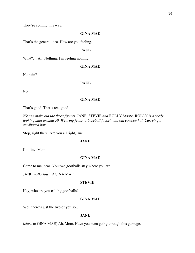They're coming this way.

# **GINA MAE**

That's the general idea. How are you feeling.

### **PAUL**

What?… Ah. Nothing. I'm feeling nothing.

### **GINA MAE**

No pain?

# **PAUL**

No.

# **GINA MAE**

That's good. That's real good.

*We can make out the three figures.* JANE, STEVIE *and* ROLLY *Moore*. ROLLY *is a seedylooking man around 50. Wearing jeans, a baseball jacket, and old cowboy hat. Carrying a cardboard box.* 

Stop, right there. Are you all right,Jane.

# **JANE**

I'm fine. Mom.

### **GINA MAE**

Come to me, dear. You two goofballs stay where you are.

JANE *walks toward* GINA MAE.

#### **STEVIE**

Hey, who are you calling goofballs?

# **GINA MAE**

Well there's just the two of you so....

# **JANE**

(*close* to GINA MAE) Ah, Mom. Have you been going through this garbage.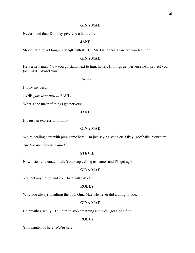# **GINA MAE**

Never mind that. Did they give you a hard time.

### **JANE**

Stevie tried to get tough. I deaqlt with it. Hi. Mr. Gallagher. How are you feeling?

# **GINA MAE**

He's a new man. Now you go stand next to him, honey. If things get perverse he'll protect you. (*to* PAUL) Won't you.

# **PAUL**

I'll try my best.

JANE *goes over next to* PAUL.

What's she mean if things get perverse.

### **JANE**

It's just an expression, I think.

# **GINA MAE**

We're dealing here with pure slime here. I'm just saying stat alert. Okay, goofballs. Your turn.

*The two men advance quickly*.

# **` STEVIE**

Now listen you crazy bitch. You keep calling us names and I'll get ugly.

# **GINA MAE**

You get any uglier and your face will fall off.

# **ROLLY**

Why you always insulting the boy, Gina Mae. He never did a thing to you.

# **GINA MAE**

He breathes, Rolly. Tell him to stop breathing and we'll get along fine.

### **ROLLY**

You wanted us here. We're here.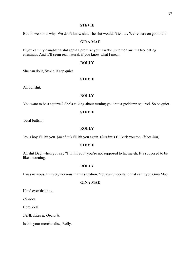#### **STEVIE**

But do we know why. We don't know shit. The slut wouldn't tell us. We're here on good faith.

## **GINA MAE**

If you call my daughter a slut again I promise you'll wake up tomorrow in a tree eating chestnuts. And it'll seem real natural, if you know what I mean.

## **ROLLY**

She can do it, Stevie. Keep quiet.

# **STEVIE**

Ah bullshit.

# **ROLLY**

You want to be a squirrel? She's talking about turning you into a goddamn squirrel. So be quiet.

#### **STEVIE**

Total bullshit.

# **ROLLY**

Jesus boy I'll hit you. (*hits him*) I'll hit you again. (*hits him*) I'll kick you too. (*kicks him*)

#### **STEVIE**

Ah shit Dad, when you say "I'll hit you" you're not supposed to hit me eh. It's supposed to be like a warning.

## **ROLLY**

I was nervous. I'm very nervous in this situation. You can understand that can't you Gina Mae.

# **GINA MAE**

Hand over that box.

*He does.*

Here, doll.

JANE *takes it. Opens it.*

Is this your merchandise, Rolly.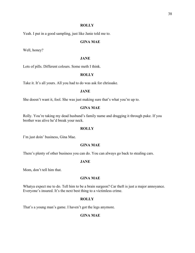#### **ROLLY**

Yeah. I put in a good sampling, just like Janie told me to.

# **GINA MAE**

Well, honey?

# **JANE**

Lots of pills. Different colours. Some meth I think.

# **ROLLY**

Take it. It's all yours. All you had to do was ask for chrissake.

#### **JANE**

She doesn't want it, fool. She was just making sure that's what you're up to.

# **GINA MAE**

Rolly. You're taking my dead husband's family name and dragging it through puke. If you brother was alive he'd break your neck.

## **ROLLY**

I'm just doin' business, Gina Mae.

#### **GINA MAE**

There's plenty of other business you can do. You can always go back to stealing cars.

# **JANE**

Mom, don't tell him that.

# **GINA MAE**

Whatya expect me to do. Tell him to be a brain surgeon? Car theft is just a major annoyance. Everyone's insured. It's the next best thing to a victimless crime.

#### **ROLLY**

That's a young man's game. I haven't got the legs anymore.

#### **GINA MAE**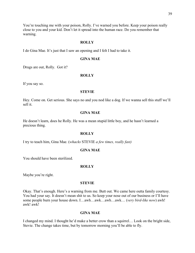You're touching me with your poison, Rolly. I've warned you before. Keep your poison really close to you and your kid. Don't let it spread into the human race. Do you remember that warning.

## **ROLLY**

I do Gina Mae. It's just that I saw an opening and I felt I had to take it.

## **GINA MAE**

Drugs are out, Rolly. Got it?

#### **ROLLY**

If you say so.

#### **STEVIE**

Hey. Come on. Get serious. She says no and you nod like a dog. If we wanna sell this stuff we'll sell it.

## **GINA MAE**

He doesn't learn, does he Rolly. He was a mean stupid little boy, and he hasn't learned a precious thing.

## **ROLLY**

I try to teach him, Gina Mae. (*whacks* STEVIE *a few times, really fast)*

#### **GINA MAE**

You should have been sterilized.

#### **ROLLY**

Maybe you're right.

#### **STEVIE**

Okay. That's enough. Here's a warning from me. Butt out. We came here outta family courtesy. You had your say. It doesn't mean shit to us. So keep your nose out of our business or I'll have some people burn your house down. I…awh…awk…awh…awk… (*very bird-like now*) awh! awk! awk!

#### **GINA MAE**

I changed my mind. I thought he'd make a better crow than a squirrel… Look on the bright side, Stevie. The change takes time, but by tomorrow morning you'll be able to fly.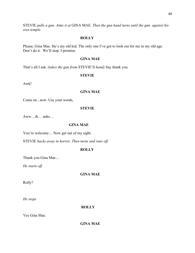STEVIE *pulls a gun. Aims it at* GINA MAE. *Then the gun hand turns until the gun against his own temple.*

# **ROLLY**

Please, Gina Mae. He's my old kid. The only one I've got to look out for me in my old age. Don't do it. We'll stop. I promise.

# **GINA MAE**

That's all I ask. *(takes the gun from* STEVIE'S *hand)* Say thank you.

# **STEVIE**

Awk!

# **GINA MAE**

Come on , now. Use your words,

# **STEVIE**

Aww…th… anks…

# **GINA MAE**

You're welcome... Now get out of my sight.

STEVIE *backs away in horror. Then turns and runs off.*

# **ROLLY**

Thank you Gina Mae…

*He starts off*

# **GINA MAE**

Rolly?

*He stops*

# **ROLLY**

Yes Gina Mae.

**GINA MAE**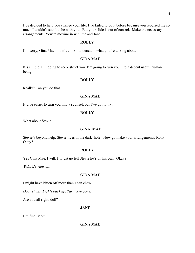I've decided to help you change your life. I've failed to do it before because you repulsed me so much I couldn't stand to be with you. But your slide is out of control. Make the necessary arrangements. You're moving in with me and Jane.

# **ROLLY**

I'm sorry, Gina Mae. I don't think I understand what you're talking about.

# **GINA MAE**

It's simple. I'm going to reconstruct you. I'm going to turn you into a decent useful human being.

# **ROLLY**

Really? Can you do that.

#### **GINA MAE**

It'd be easier to turn you into a squirrel, but I've got to try.

# **ROLLY**

What about Stevie.

#### **GINA MAE**

Stevie's beyond help. Stevie lives in the dark hole. Now go make your arrangements, Rolly.. Okay?

# **ROLLY**

Yes Gina Mae. I will. I'll just go tell Stevie he's on his own. Okay?

ROLLY *runs off.*

## **GINA MAE**

I might have bitten off more than I can chew.

*Door slams. Lights back up. Turn. Are gone.*

Are you all right, doll?

# **JANE**

I'm fine, Mom.

# **GINA MAE**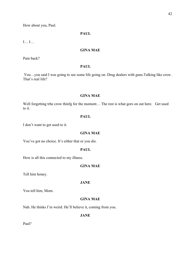How about you, Paul.

# **PAUL**

I… I…

# **GINA MAE**

Pain back?

# **PAUL**

You…you said I was going to see some life going on. Drug dealers with guns.Talking like crow. That's real life?

# **GINA MAE**

Well forgetting trhe crow thinfg for the moment… The rest is what gors on out here. Get used to it.

# **PAUL**

I don't want to get used to it.

# **GINA MAE**

You've got no choice. It's either that or you die.

# **PAUL**

How is all this connected to my illness.

# **GINA MAE**

Tell him honey.

# **JANE**

You tell him, Mom.

# **GINA MAE**

Nah. He thinks I'm weird. He'll believe it, coming from you.

**JANE**

Paul?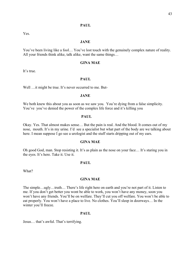# **PAUL**

Yes.

## **JANE**

You've been living like a fool… You've lost touch with the genuinely complex nature of reality. All your friends think alike, talk alike, want the same things…

## **GINA MAE**

It's true.

## **PAUL**

Well ... it might be true. It's never occurred to me. But-

## **JANE**

We both knew this about you as soon as we saw you. You're dying from a false simplicity. You've you've denied the power of the complex life force and it's killing you

#### **PAUL**

Okay. Yes. That almost makes sense… But the pain is real. And the blood. It comes out of my nose, mouth. It's in my urine. I'd see a specialist but what part of the body are we talking about here. I mean suppose I go see a urologist and the stuff starts dripping out of my ears.

#### **GINA MAE**

Oh good God, man. Stop resisting it. It's as plain as the nose on your face… It's staring you in the eyes. It's here. Take it. Use it.

## **PAUL**

What?

# **GINA MAE**

The simple…ugly…truth… There's life right here on earth and you're not part of it. Listen to me. If you don't get better you wont be able to work, you won't have any money, soon you won't have any friends. You'll be on welfare. They'll cut you off welfare. You won't be able to eat properly. You won't have a place to live. No clothes. You'll sleep in doorways… In the winter you'll freeze.

#### **PAUL**

Jesus… that's awful. That's terrifying.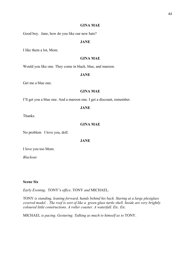# **GINA MAE**

Good boy. Jane, how do you like our new hats?

# **JANE**

I like them a lot, Mom.

# **GINA MAE**

Would you like one. They come in black, blue, and maroon.

# **JANE**

Get me a blue one.

# **GINA MAE**

I'll get you a blue one. And a maroon one. I get a discount, remember.

# **JANE**

Thanks.

# **GINA MAE**

No problem I love you, doll.

**JANE**

I love you too Mom.

*Blackout*

# **Scene Six**

*Early Evening*. TONY's *office*. TONY *and* MICHAEL.

TONY *is standing, leaning forward, hands behind his back. Staring at a large plexiglass covered model. . The roof is sort of like a green glass turtle shell. Inside are very brightly coloured little constructions. A roller coaster. A waterfall. Etc. Etc.*

MICHAEL *is pacing. Gesturing. Talking as much to himself as to* TONY.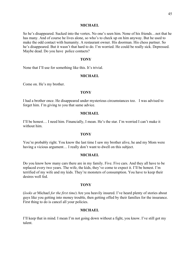#### **MICHAEL**

So he's disappeared. Sucked into the vortex. No one's seen him. None of his friends…not that he has many. And of course he lives alone, so who's to check up on him anyway. But he used to make the odd contact with humanity. A restaurant owner. His doorman. His chess partner. So he's disappeared. But it wasn't that hard to do. I'm worried. He could be really sick. Depressed. Maybe dead. Do you have police contacts?

#### **TONY**

None that I'll use for something like this. It's trivial.

## **MICHAEL**

Come on. He's my brother.

#### **TONY**

I had a brother once. He disappeared under mysterious circumstances too. I was advised to forget him. I'm giving to you that same advice.

## **MICHAEL**

I'll be honest… I need him. Financially, I mean. He's the star. I'm worried I can't make it without him.

# **TONY**

You're probably right. You know the last time I saw my brother alive, he and my Mom were having a vicious argument… I really don't want to dwell on this subject.

## **MICHAEL**

Do you know how many cars there are in my family. Five. Five cars. And they all have to be replaced every two years. The wife, the kids, they've come to expect it. I'll be honest. I'm terrified of my wife and my kids. They're monsters of consumption. You have to keep their desires well fed.

## **TONY**

(*looks at* Michael *for the first time*) Are you heavily insured. I've heard plenty of stories about guys like you getting into money trouble, then getting offed by their families for the insurance. First thing to do is cancel all your policies.

## **MICHAEL**

I'll keep that in mind. I mean I'm not going down without a fight, you know. I've still got my talent.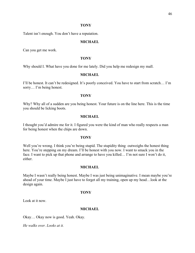## **TONY**

Talent isn't enough. You don't have a reputation.

# **MICHAEL**

Can you get me work.

#### **TONY**

Why should I. What have you done for me lately. Did you help me redesign my mall.

# **MICHAEL**

I'll be honest. It can't be redesigned. It's poorly conceived. You have to start from scratch… I'm sorry… I'm being honest.

# **TONY**

Why? Why all of a sudden are you being honest. Your future is on the line here. This is the time you should be licking boots.

## **MICHAEL**

I thought you'd admire me for it. I figured you were the kind of man who really respects a man for being honest when the chips are down.

# **TONY**

Well you're wrong. I think you're being stupid. The stupidity thing outweighs the honest thing here. You're stepping on my dream. I'll be honest with you now. I want to smack you in the face. I want to pick up that phone and arrange to have you killed… I'm not sure I won't do it, either.

## **MICHAEL**

Maybe I wasn't really being honest. Maybe I was just being unimaginative. I mean maybe you're ahead of your time. Maybe I just have to forget all my training, open up my head…look at the design again.

## **TONY**

Look at it now.

## **MICHAEL**

Okay… Okay now is good. Yeah. Okay.

*He walks over. Looks at it.*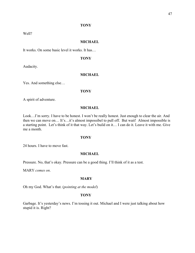## **TONY**

Well?

# **MICHAEL**

It works. On some basic level it works. It has…

# **TONY**

Audacity.

# **MICHAEL**

Yes. And something else…

#### **TONY**

A spirit of adventure.

# **MICHAEL**

Look…I'm sorry. I have to be honest. I won't be really honest. Just enough to clear the air. And then we can move on… It's…it's almost impossibel to pull off. But wait! Almost impossible is a starting point. Let's think of it that way. Let's build on it… I can do it. Leave it with me. Give me a month.

# **TONY**

24 hours. I have to move fast.

# **MICHAEL**

Pressure. No, that's okay. Pressure can be a good thing. I'll think of it as a test.

MARY *comes on*.

## **MARY**

Oh my God. What's that. (*pointing at the model*)

# **TONY**

Garbage. It's yesterday's news. I'm tossing it out. Michael and I were just talking about how stupid it is. Right?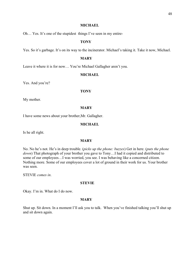#### **MICHAEL**

Oh… Yes. It's one of the stupidest things I've seen in my entire-

# **TONY**

Yes. So it's garbage. It's on its way to the incinerator. Michael's taking it. Take it now, Michael.

## **MARY**

Leave it where it is for now… You're Michael Gallagher aren't you.

# **MICHAEL**

Yes. And you're?

#### **TONY**

My mother.

## **MARY**

I have some news about your brother,Mr. Gallagher.

#### **MICHAEL**

Is he all right.

## **MARY**

No. No he's not. He's in deep trouble. (*picks up the phone: buzzes*) Get in here. (*puts the phone down*) That photograph of your brother you gave to Tony…I had it copied and distributed to some of our employees…I was worried, you see. I was behaving like a concerned citizen. Nothing more. Some of our employees cover a lot of ground in their work for us. Your brother was seen.

STEVIE *comes in*.

#### **STEVIE**

Okay. I'm in. What do I do now.

#### **MARY**

Shut up. Sit down. In a moment I'll ask you to talk. When you've finished talking you'll shut up and sit down again.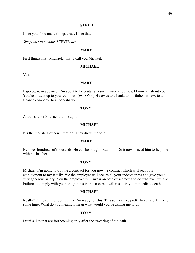#### **STEVIE**

I like you. You make things clear. I like that.

*She points to a chair.* STEVIE *sits.*

## **MARY**

First things first. Michael…may I call you Michael.

#### **MICHAEL**

Yes.

# **MARY**

I apologize in advance. I'm about to be brutally frank. I made enquiries. I know all about you. You're in debt up to your earlobes. (*to* TONY) He owes to a bank, to his father-in-law, to a finance company, to a loan-shark-

#### **TONY**

A loan shark? Michael that's stupid.

#### **MICHAEL**

It's the monsters of consumption. They drove me to it.

# **MARY**

He owes hundreds of thousands. He can be bought. Buy him. Do it now. I need him to help me with his brother.

# **TONY**

Michael. I'm going to outline a contract for you now. A contract which will seal your employment to my family. We the employer will secure all your indebtedness and give you a very generous salary. You the employee will swear an oath of secrecy and do whatever we ask. Failure to comply with your obligations in this contract will result in you immediate death.

#### **MICHAEL**

Really? Oh…well, I…don't think I'm ready for this. This sounds like pretty heavy stuff. I need some time. What do you mean…I mean what would you be asking me to do.

#### **TONY**

Details like that are forthcoming only after the swearing of the oath.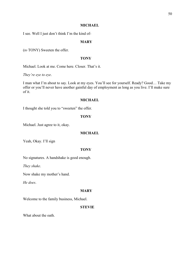## **MICHAEL**

I see. Well I just don't think I'm the kind of-

# **MARY**

(*to* TONY) Sweeten the offer.

## **TONY**

Michael. Look at me. Come here. Closer. That's it.

*They're eye to eye*.

I man what I'm about to say. Look at my eyes. You'll see for yourself. Ready? Good… Take my offer or you'll never have another gainful day of employment as long as you live. I'll make sure of it.

# **MICHAEL**

I thought she told you to "sweeten" the offer.

## **TONY**

Michael. Just agree to it, okay.

# **MICHAEL**

Yeah, Okay. I'll sign

# **TONY**

No signatures. A handshake is good enough.

*They shake*.

Now shake my mother's hand.

*He does*.

# **MARY**

Welcome to the family business, Michael.

# **STEVIE**

What about the oath.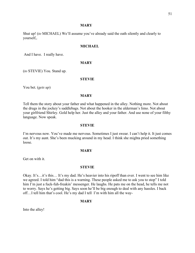#### **MARY**

Shut up! (*to* MICHAEL) We'll assume you've already said the oath silently and clearly to yourself,.

# **MICHAEL**

And I have. I really have.

#### **MARY**

(*to* STEVIE) You. Stand up.

# **STEVIE**

You bet. (*gets up*)

## **MARY**

Tell them the story about your father and what happened in the alley. Nothing more. Not about the drugs in the jockey's saddlebags. Not about the hooker in the alderman's limo. Not about your girlfriend Shirley. Gold help her. Just the alley and your father. And use none of your filthy language. Now speak.

#### **STEVIE**

I'm nervous now. You've made me nervous. Sometimes I just swear. I can't help it. It just comes out. It's my aunt. She's been mucking around in my head. I think she mighta pried something loose.

#### **MARY**

Get on with it.

#### **STEVIE**

Okay. It's…it's this… It's my dad. He's heavier into his ripoff than ever. I went to see him like we agreed. I told him "dad this is a warning. These people asked me to ask you to stop" I told him I'm just a fuck-fuh-freakin' messenger. He laughs. He pats me on the head, he tells me not to worry. Says he's getting big. Says soon he'll be big enough to deal with any hassles. I back off…I tell him that's cool. He's my dad I tell I'm with him all the way-

#### **MARY**

Into the alley!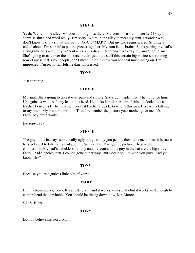#### **STEVIE**

Yeah. We're in the alley. My cousin brought us there. My cousin's a slut. I hate her! Okay I'm sorry. Is slut a bad word really- I'm sorry. We're in the alley to meet my aunt. I wonder why. I don't know. I know shit at this point. (*looks at* MARY) But my dad seems scared. Stuff gets talked about. I'm startin' to put the pieces together. My aunt is the brains. She's pulling my dad's strings like he's a dummy without a prick…a dick… A weenie? Anyway my aunt's got plans. She's going to take over the hookers, the drugs all the stuff this certain big business is running now- I guess that's you people, eh? I mean I didn't know you had that much going on. I'm impressed. I'm really fuh-fuh-freakin' impressed.

#### **TONY**

Just continue.

#### **STEVIE**

My aunt. She's going to take it over pure and simple. She's got inside info. Then I notice him. Up against a wall. A funny hat on his head. He looks familiar. At first I think he looks like a teacher I once had. Then I remember that teacher's dead. So who is this guy. His face is talking to my brain. My brain knows him. Then I remember the picture your mother gave me. It's him. Okay. My brain works!

(no repsonse)

#### **STEVIE**

The guy in the hat says some really ugly things abouy you people then tells me to beat it because he's got stuff to talk to my dad about… So I do. But I've got the picture. They're the competition. My dad's a dickless dummy and my aunt and the guy in the hat are the big shits. Okay I had a choice then. I coulda gone either way. But I decided. I'm with you guys. And you know why?

#### **TONY**

Because you're a gutless little pile of vomit.

#### **MARY**

But his brain works, Tony. It's a little brain, and it works very slowly but it works well enough to comprehend the inevitable. You should be sitting down now, Mr. Moore.

STEVIE *sits*.

## **TONY**

Do you believe his story, Mom.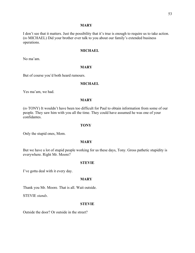## **MARY**

I don't see that it matters. Just the possibility that it's true is enough to require us to take action. (*to* MICHAEL) Did your brother ever talk to you about our family's extended business operations.

# **MICHAEL**

No ma'am.

## **MARY**

But of course you'd both heard rumours.

## **MICHAEL**

Yes ma'am, we had.

# **MARY**

(*to* TONY) It wouldn't have been too difficult for Paul to obtain information from some of our people. They saw him with you all the time. They could have assumed he was one of your confidantes.

## **TONY**

Only the stupid ones, Mom.

#### **MARY**

But we have a lot of stupid people working for us these days, Tony. Gross pathetic stupidity is everywhere. Right Mr. Moore?

#### **STEVIE**

I've gotta deal with it every day.

## **MARY**

Thank you Mr. Moore. That is all. Wait outside.

STEVIE *stands*.

## **STEVIE**

Outside the door? Or outside in the street?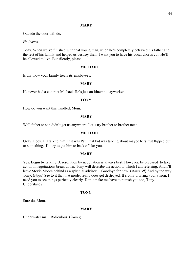## **MARY**

Outside the door will do.

*He leaves*.

Tony. When we've finished with that young man, when he's completely betrayed his father and the rest of his family and helped us destroy them-I want you to have his vocal chords cut. He'll be allowed to live. But silently, please.

## **MICHAEL**

Is that how your family treats its employees.

## **MARY**

He never had a contract Michael. He's just an itinerant dayworker.

## **TONY**

How do you want this handled, Mom.

#### **MARY**

Well father to son didn't get us anywhere. Let's try brother to brother next.

#### **MICHAEL**

Okay. Look. I'll talk to him. If it was Paul that kid was talking about maybe he's just flipped out or something. I'll try to get him to back off for you.

#### **MARY**

Yes. Begin by talking. A resolution by negotiation is always best. However, be prepared to take action if negotiations break down. Tony will describe the action to which I am referring. And I'll leave Stevie Moore behind as a spiritual advisor… Goodbye for now. (*starts off*) And by the way Tony. (*stops*) See to it that that model really does get destroyed. It's only blurring your vision. I need you to see things perfectly clearly. Don't make me have to punish you too, Tony. Understand?

## **TONY**

Sure do, Mom.

## **MARY**

Underwater mall. Ridiculous. (*leaves*)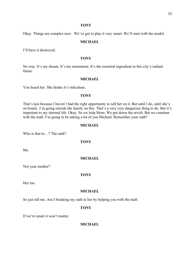#### **TONY**

Okay. Things are complex now. We've got to play it very smart. We'll start with the model.

## **MICHAEL**

I'll have it destroyed.

# **TONY**

No way. It's my dream. It's my monument. It's the essential ingredient in this city's radiant future.

# **MICHAEL**

You heard her. She thinks it's ridiculous.

# **TONY**

That's just because I haven't had the right opportunity to sell her on it. But until I do, until she's on board, I'm going outside the family on this. That's a very very dangerous thing to do. But it's important to my internal life. Okay. So we help Mom. We put down the revolt. But we continue with the mall. I'm going to be asking a lot of you Michael. Remember your oath?

# **MICHAEL**

Who is that to…? The oath?

**TONY**

Me.

## **MICHAEL**

Not your mother?

## **TONY**

Her too.

# **MICHAEL**

So just tell me. Am I breaking my oath to her by helping you with the mall.

# **TONY**

If we're smart it won't matter.

## **MICHAEL**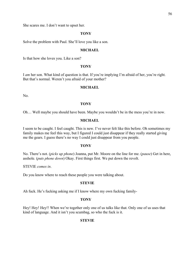She scares me. I don't want to upset her.

## **TONY**

Solve the problem with Paul. She'll love you like a son.

#### **MICHAEL**

Is that how she loves you. Like a son?

#### **TONY**

I *am* her son. What kind of question is that. If you're implying I'm afraid of her, you're right. But that's normal. Weren't you afraid of your mother?

#### **MICHAEL**

No.

#### **TONY**

Oh… Well maybe you should have been. Maybe you wouldn't be in the mess you're in now.

## **MICHAEL**

I seem to be caught. I feel caught. This is new. I've never felt like this before. Oh sometimes my family makes me feel this way, but I figured I could just disappear if they really started giving me the gears. I guess there's no way I could just disappear from you people.

#### **TONY**

No. There's not. (*picks up phone*) Joanna, put Mr. Moore on the line for me. (*pause*) Get in here, asshole. (*puts phone down*) Okay. First things first. We put down the revolt.

STEVIE *comes in*.

Do you know where to reach these people you were talking about.

## **STEVIE**

Ah fuck. He's fucking asking me if I know where my own fucking family-

#### **TONY**

Hey! Hey! Hey!! When we're together only one of us talks like that. Only one of us uses that kind of language. And it isn't you scumbag, so who the fuck is it.

#### **STEVIE**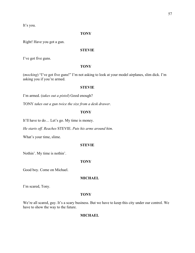It's you.

# **TONY**

Right! Have you got a gun.

## **STEVIE**

I've got five guns.

## **TONY**

(*mocking*) "I've got five guns!" I'm not asking to look at your model airplanes, slim dick. I'm asking you if you're armed.

#### **STEVIE**

I'm armed. (*takes out a pistol*) Good enough?

TONY *takes out a gun twice the size from a desk drawer*.

# **TONY**

It'll have to do… Let's go. My time is money.

*He starts off. Reaches* STEVIE. *Puts his arms around him*.

What's your time, slime.

#### **STEVIE**

Nothin'. My time is nothin'.

#### **TONY**

Good boy. Come on Michael.

# **MICHAEL**

I'm scared, Tony.

## **TONY**

We're all scared, guy. It's a scary business. But we have to keep this city under our control. We have to show the way to the future.

## **MICHAEL**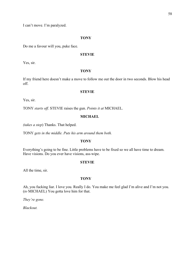#### **TONY**

Do me a favour will you, puke face.

## **STEVIE**

Yes, sir.

## **TONY**

If my friend here doesn't make a move to follow me out the door in two seconds. Blow his head off.

#### **STEVIE**

Yes, sir.

TONY *starts off*. STEVIE raises the gun. *Points it at* MICHAEL.

# **MICHAEL**

*(takes a step*) Thanks. That helped.

TONY *gets in the middle. Puts his arm around them both.*

# **TONY**

Everything's going to be fine. Little problems have to be fixed so we all have time to dream. Have visions. Do you ever have visions, ass-wipe.

#### **STEVIE**

All the time, sir.

#### **TONY**

Ah, you fucking liar. I love you. Really I do. You make me feel glad I'm alive and I'm not you. (*to* MICHAEL) You gotta love him for that.

*They're gone.*

*Blackout.*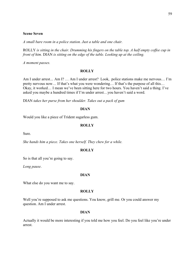*A small bare room in a police station. Just a table and one chair.*

ROLLY *is sitting in the chair. Drumming his fingers on the table top. A half empty coffee cup in front of him.* DIAN *is sitting on the edge of the table. Looking up at the ceiling.*

*A moment passes.*

#### **ROLLY**

Am I under arrest*…* Am I? … Am I under arrest? Look, police stations make me nervous… I'm pretty nervous now… If that's what you were wondering… If that's the purpose of all this… Okay, it worked… I mean we've been sitting here for two hours. You haven't said a thing. I've asked you maybe a hundred times if I'm under arrest…you haven't said a word.

DIAN *takes her purse from her shoulder. Takes out a pack of gum*

## **DIAN**

Would you like a piece of Trident sugarless gum.

# **ROLLY**

Sure.

*She hands him a piece. Takes one herself. They chew for a while.*

#### **ROLLY**

So is that all you're going to say.

*Long pause*.

## **DIAN**

What else do you want me to say.

#### **ROLLY**

Well you're supposed to ask me questions. You know, grill me. Or you could answer my question. Am I under arrest.

#### **DIAN**

Actually it would be more interesting if you told me how you feel. Do you feel like you're under arrest.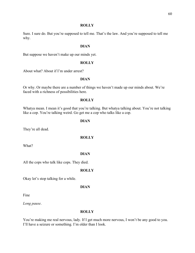#### **ROLLY**

Sure. I sure do. But you're supposed to tell me. That's the law. And you're supposed to tell me why.

## **DIAN**

But suppose we haven't make up our minds yet.

#### **ROLLY**

About what? About if I'm under arrest?

# **DIAN**

Or why. Or maybe there are a number of things we haven't made up our minds about. We're faced with a richness of possibilities here.

# **ROLLY**

Whatya mean. I mean it's good that you're talking. But whatya talking about. You're not talking like a cop. You're talking weird. Go get me a cop who talks like a cop.

#### **DIAN**

They're all dead.

# **ROLLY**

What?

## **DIAN**

All the cops who talk like cops. They died.

#### **ROLLY**

Okay let's stop talking for a while.

## **DIAN**

Fine

*Long pause*.

## **ROLLY**

You're making me real nervous, lady. If I get much more nervous, I won't be any good to you. I'll have a seizure or something. I'm older than I look.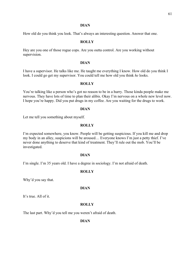#### **DIAN**

How old do you think you look. That's always an interesting question. Answer that one.

#### **ROLLY**

Hey are you one of those rogue cops. Are you outta control. Are you working without supervision.

#### **DIAN**

I have a supervisor. He talks like me. He taught me everything I know. How old do you think I look. I could go get my supervisor. You could tell me how old you think *he* looks.

#### **ROLLY**

You're talking like a person who's got no reason to be in a hurry. Those kinda people make me nervous. They have lots of time to plan their alibis. Okay I'm nervous on a whole new level now. I hope you're happy. Did you put drugs in my coffee. Are you waiting for the drugs to work.

#### **DIAN**

Let me tell you something about myself.

# **ROLLY**

I'm expected somewhere, you know. People will be getting suspicious. If you kill me and drop my body in an alley, suspicions will be aroused… Everyone knows I'm just a petty thief. I've never done anything to deserve that kind of treatment. They'll rule out the mob. You'll be investigated.

## **DIAN**

I'm single. I'm 35 years old. I have a degree in sociology. I'm not afraid of death.

#### **ROLLY**

Why'd you say that.

# **DIAN**

It's true. All of it.

# **ROLLY**

The last part. Why'd you tell me you weren't afraid of death.

#### **DIAN**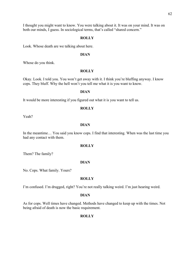I thought you might want to know. You were talking about it. It was on your mind. It was on both our minds, I guess. In sociological terms, that's called "shared concern."

#### **ROLLY**

Look. Whose death are we talking about here.

## **DIAN**

Whose do you think.

#### **ROLLY**

Okay. Look. I told you. You won't get away with it. I think you're bluffing anyway. I know cops. They bluff. Why the hell won't you tell me what it is you want to know.

#### **DIAN**

It would be more interesting if you figured out what it is you want to tell us.

#### **ROLLY**

Yeah?

## **DIAN**

In the meantime… You said you know cops. I find that interesting. When was the last time you had any contact with them.

#### **ROLLY**

Them? The family?

#### **DIAN**

No. Cops. What family. Yours?

#### **ROLLY**

I'm confused. I'm drugged, right? You're not really talking weird. I'm just hearing weird.

## **DIAN**

As for cops. Well times have changed. Methods have changed to keep up with the times. Not being afraid of death is now the basic requirement.

# **ROLLY**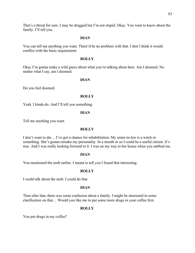# **DIAN**

You can tell me anything you want. There'd be no problem with that. I don't think it would conflict with the basic requirement.

## **ROLLY**

Okay I'm gonna make a wild guess about what you're talking about here. Am I doomed. No matter what I say, am I doomed.

# **DIAN**

Do you feel doomed.

# **ROLLY**

Yeah. I kinda do. And I'll tell you something.

## **DIAN**

Tell me anything you want.

## **ROLLY**

I don't want to die… I've got a chance for rehabilitation. My sister-in-law is a witch or something. She's gonna remake my personality. In a month or so I could be a useful citizen. It's true. And I was really looking forward to it. I was on my way to her house when you nabbed me.

## **DIAN**

You mentioned the mob earlier. I meant to tell you I found that interesting.

## **ROLLY**

I could talk about the mob. I could do that.

## **DIAN**

Then after that, there was some confusion about a family. I might be interested in some clarification on that… Would you like me to put some more drugs in your coffee first.

# **ROLLY**

You put drugs in my coffee?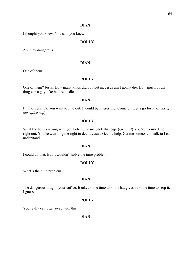#### **DIAN**

I thought you knew. You said you knew.

## **ROLLY**

Are they dangerous.

#### **DIAN**

One of them.

## **ROLLY**

One of them? Jesus. How many kinds did you put in. Jesus am I gonna die. How much of that drug can a guy take before he dies.

# **DIAN**

I'm not sure. Do you want to find out. It could be interesting. Come on. Let's go for it. (*picks up the coffee cup*)

#### **ROLLY**

What the hell is wrong with you lady. Give me back that cup. (*Grabs it*) You've weirded me right out. You're weirding me right to death. Jesus. Get me help. Get me someone to talk to I can understand.

## **DIAN**

I could do that. But it wouldn't solve the time problem.

## **ROLLY**

What's the time problem.

## **DIAN**

The dangerous drug in your coffee. It takes some time to kill. That gives us some time to stop it, I guess.

#### **ROLLY**

You really can't get away with this.

**DIAN**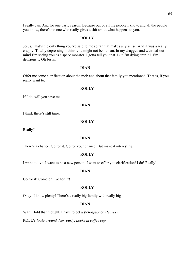I really can. And for one basic reason. Because out of all the people I know, and all the people you know, there's no one who really gives a shit about what happens to you.

# **ROLLY**

Jesus. That's the only thing you've said to me so far that makes any sense. And it was a really crappy. Totally depressing. I think you might not be human. In my drugged and weirded-out mind I'm seeing you as a space monster. I gotta tell you that. But I'm dying aren't I. I'm delirious… Oh Jesus.

## **DIAN**

Offer me some clarification about the mob and about that family you mentioned. That is, if you really want to.

# **ROLLY**

If I do, will you save me.

# **DIAN**

I think there's still time.

# **ROLLY**

Really?

# **DIAN**

There's a chance. Go for it. Go for your chance. But make it interesting.

# **ROLLY**

I want to live. I want to be a new person! I want to offer you clarification! I do! Really!

# **DIAN**

Go for it! Come on! Go for it!!

# **ROLLY**

Okay! I know plenty! There's a really big family with really big-

# **DIAN**

Wait. Hold that thought. I have to get a stenographer. (*leaves*)

ROLLY *looks around. Nervously. Looks in coffee cup.*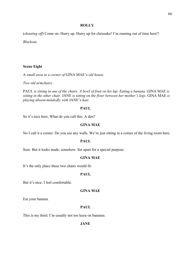#### **ROLLY**

(*shouting off*) Come on. Hurry up. Hurry up for chrissake! I'm running out of time here!!

*Blackout*.

# **Scene Eight**

A *small area in a corner of* GINA MAE's *old house.*

*Two old armchairs.*

PAUL *is sitting in one of the chairs. A bowl of fruit on his lap. Eating a banana.* GINA MAE *is sitting in the other chair.* JANE *is sitting on the floor between her mother's legs.* GINA MAE *is playing absent-mindedly with* JANE's *hair.*

## **PAUL**

So it's nice here. What do you call this. A den?

# **GINA MAE**

No I call it a corner. Do you see any walls. We're just sitting in a corner of the living room here.

# **PAUL**

Sure. But it looks made, somehow. Set apart for a special purpose.

## **GINA MAE**

It's the only place these two chairs would fit.

# **PAUL**

But it's nice. I feel comfortable.

# **GINA MAE**

Eat your banana.

# **PAUL**

This is my third. I'm usually not too keen on bananas.

## **JANE**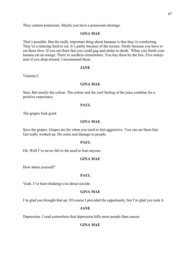They contain potassium. Maybe you have a potassium shortage.

## **GINA MAE**

That's possible. But the really important thing about bananas is that they're comforting. They're a relaxing food to eat. It's partly because of the texture. Partly because you have to eat them slow. If you eat them fast you could gag and choke to death. When you finish your banana eat an orange. There're seedless clementines. You buy them by the box. Five ninetynine if you shop around. I recommend them.

#### **JANE**

Vitamin C.

## **GINA MAE**

Sure. But mostly the colour. The colour and the cool feeling of the juice combine for a positive experience.

#### **PAUL**

The grapes look good.

#### **GINA MAE**

Save the grapes. Grapes are for when you need to feel aggressive. You can eat them fast. Get really worked up. Do some real damage to people.

## **PAUL**

Oh. Well I've never felt to the need to hurt anyone.

# **GINA MAE**

How about yourself?

#### **PAUL**

Yeah. I've been thinking a lot about suicide.

# **GINA MAE**

I'm glad you brought that up. Of course I provided the opportunity, but I'm glad you took it.

#### **JANE**

Depression. I read somewhere that depression kills more people than cancer.

# **GINA MAE**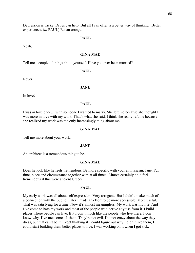Depression is tricky. Drugs can help. But all I can offer is a better way of thinking . Better experiences. (*to* PAUL) Eat an orange.

#### **PAUL**

Yeah.

# **GINA MAE**

Tell me a couple of things about yourself. Have you ever been married?

# **PAUL**

Never.

#### **JANE**

In love?

#### **PAUL**

I was in love once… with someone I wanted to marry. She left me because she thought I was more in love with my work. That's what she said. I think she really left me because she realized my work was the only increasingly thing about me.

#### **GINA MAE**

Tell me more about your work.

#### **JANE**

An architect is a tremendous thing to be.

#### **GINA MAE**

Does he look like he feels tremendous. Be more specific with your enthusiasm, Jane. Put time, place and circumstance together with at all times. Almost certainly he'd feel tremendous if this were ancient Greece.

#### **PAUL**

My early work was all about self expression. Very arrogant. But I didn't make much of a connection with the public. Later I made an effort to be more accessible. More useful. That was satisfying for a time. Now it's almost meaningless. My work was my life. And I've come to hate my work and most of the people who derive any use from it. I build places where people can live. But I don't much like the people who live there. I don't know why. I've met some of them. They're not evil. I'm not crazy about the way they dress, but that can't be it. I kept thinking if I could figure out why I didn't like them, I could start building them better places to live. I was working on it when I got sick.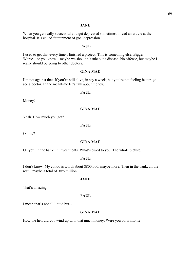## **JANE**

When you get really successful you get depressed sometimes. I read an article at the hospital. It's called "attainment of goal depression."

# **PAUL**

I used to get that every time I finished a project. This is something else. Bigger. Worse…or you know…maybe we shouldn't rule out a disease. No offense, but maybe I really should be going to other doctors.

#### **GINA MAE**

I'm not against that. If you're still alive, in say a week, but you're not feeling better, go see a doctor. In the meantime let's talk about money.

#### **PAUL**

Money?

# **GINA MAE**

Yeah. How much you got?

## **PAUL**

On me?

#### **GINA MAE**

On you. In the bank. In investments. What's owed to you. The whole picture.

#### **PAUL**

I don't know. My condo is worth about \$800,000, maybe more. Then in the bank, all the rest…maybe a total of two million.

## **JANE**

That's amazing.

# **PAUL**

I mean that's not all liquid but--

#### **GINA MAE**

How the hell did you wind up with that much money. Were you born into it?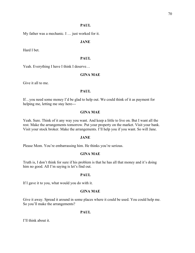# **PAUL**

My father was a mechanic. I … just worked for it.

# **JANE**

Hard I bet.

# **PAUL**

Yeah. Everything I have I think I deserve…

# **GINA MAE**

Give it all to me.

# **PAUL**

If…you need some money I'd be glad to help out. We could think of it as payment for helping me, letting me stay here---

# **GINA MAE**

Yeah. Sure. Think of it any way you want. And keep a little to live on. But I want all the rest. Make the arrangements tomorrow. Put your property on the market. Visit your bank. Visit your stock broker. Make the arrangements. I'll help you if you want. So will Jane.

# **JANE**

Please Mom. You're embarrassing him. He thinks you're serious.

# **GINA MAE**

Truth is, I don't think for sure if his problem is that he has all that money and it's doing him no good. All I'm saying is let's find out.

# **PAUL**

If I gave it to you, what would you do with it.

# **GINA MAE**

Give it away. Spread it around in some places where it could be used. You could help me. So you'll make the arrangements?

# **PAUL**

I'll think about it.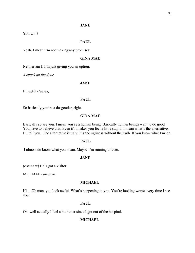# **JANE**

You will?

# **PAUL**

Yeah. I mean I'm not making any promises.

# **GINA MAE**

Neither am I. I'm just giving you an option.

*A knock on the door.*

# **JANE**

I'll get it (*leaves)*

## **PAUL**

So basically you're a do-gooder, right.

# **GINA MAE**

Basically so are you. I mean you're a human being. Basically human beings want to do good. You have to believe that. Even if it makes you feel a little stupid. I mean what's the alternative. I'll tell you. The alternative is ugly. It's the ugliness without the truth. If you know what I mean.

# **PAUL**

I almost do know what you mean. Maybe I'm running a fever.

## **JANE**

(*comes in*) He's got a visitor.

MICHAEL *comes in.*

## **MICHAEL**

Hi… Oh man, you look awful. What's happening to you. You're looking worse every time I see you.

# **PAUL**

Oh, well actually I feel a bit better since I got out of the hospital.

# **MICHAEL**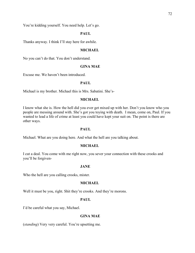You're kidding yourself. You need help. Let's go.

# **PAUL**

Thanks anyway. I think I'll stay here for awhile.

## **MICHAEL**

No you can't do that. You don't understand.

#### **GINA MAE**

Excuse me. We haven't been introduced.

# **PAUL**

Michael is my brother. Michael this is Mrs. Sabatini. She's-

#### **MICHAEL**

I know what she is. How the hell did you ever get mixed up with her. Don't you know who you people are messing around with. She's got you toying with death. I mean, come on, Paul. If you wanted to lead a life of crime at least you could have kept your suit on. The point is there are other ways.

#### **PAUL**

Michael. What are you doing here. And what the hell are you talking about.

## **MICHAEL**

I cut a deal. You come with me right now, you sever your connection with these crooks and you'll be forgiven-

#### **JANE**

Who the hell are you calling crooks, mister.

## **MICHAEL**

Well it must be you, right. Shit they're crooks. And they're morons.

#### **PAUL**

I'd be careful what you say, Michael.

# **GINA MAE**

(*standing*) Very very careful. You're upsetting me.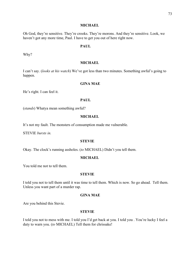### **MICHAEL**

Oh God, they're sensitive. They're crooks. They're morons. And they're sensitive. Look, we haven't got any more time, Paul. I have to get you out of here right now.

## **PAUL**

Why?

### **MICHAEL**

I can't say. (*looks at his watch*) We've got less than two minutes. Something awful's going to happen.

## **GINA MAE**

He's right. I can feel it.

## **PAUL**

(*stands*) Whatya mean something awful?

## **MICHAEL**

It's not my fault. The monsters of consumption made me vulnerable.

STEVIE *bursts in.*

### **STEVIE**

Okay. The clock's running assholes. (*to* MICHAEL) Didn't you tell them.

#### **MICHAEL**

You told me not to tell them.

## **STEVIE**

I told you not to tell them until it was time to tell them. Which is now. So go ahead. Tell them. Unless you want part of a murder rap.

## **GINA MAE**

Are you behind this Stevie.

### **STEVIE**

I told you not to mess with me. I told you I'd get back at you. I told you . You're lucky I feel a duty to warn you. (*to* MICHAEL) Tell them for chrissake!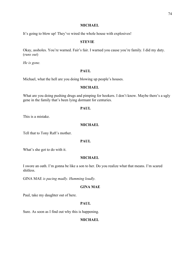### **MICHAEL**

It's going to blow up! They've wired the whole house with explosives!

## **STEVIE**

Okay, assholes. You're warned. Fair's fair. I warned you cause you're family. I did my duty. (*runs out*)

*He is gone.*

## **PAUL**

Michael, what the hell are you doing blowing up people's houses.

## **MICHAEL**

What are you doing pushing drugs and pimping for hookers. I don't know. Maybe there's a ugly gene in the family that's been lying dormant for centuries.

## **PAUL**

This is a mistake.

## **MICHAEL**

Tell that to Tony Raft's mother.

## **PAUL**

What's she got to do with it.

### **MICHAEL**

I swore an oath. I'm gonna be like a son to her. Do you realize what that means. I'm scared shitless.

GINA MAE *is pacing madly. Humming loudly.*

## **GINA MAE**

Paul, take my daughter out of here.

## **PAUL**

Sure. As soon as I find out why this is happening.

## **MICHAEL**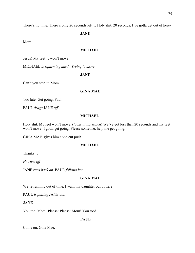There's no time. There's only 20 seconds left… Holy shit. 20 seconds. I've gotta get out of here-

**JANE**

Mom.

# **MICHAEL**

Jesus! My feet… won't move.

MICHAEL *is squirming hard.. Trying to move.*

## **JANE**

Can't you stop it, Mom.

## **GINA MAE**

Too late. Get going, Paul.

PAUL *drags* JANE *off.*

## **MICHAEL**

Holy shit. My feet won't move. (*looks at his watch*) We've got less than 20 seconds and my feet won't move! I gotta get going. Please someone, help me get going.

GINA MAE gives him a violent push.

### **MICHAEL**

Thanks…

*He runs off*

JANE *runs back on.* PAUL *follows her.*

## **GINA MAE**

We're running out of time. I want my daughter out of here!

PAUL *is pulling* JANE *out.*

**JANE**

You too, Mom! Please! Please! Mom! You too!

**PAUL**

Come on, Gina Mae.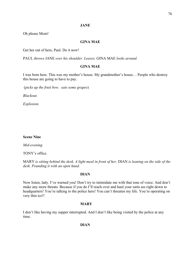# **JANE**

Oh please Mom!

# **GINA MAE**

Get her out of here, Paul. Do it now!

PAUL *throws* JANE *over his shoulder. Leaves.* GINA MAE *looks around.*

## **GINA MAE**

I was born here. This was my mother's house. My grandmother's house… People who destroy this house are going to have to pay.

(*picks up the fruit bow. eats some grapes*)

*Blackout.*

*Explosion.*

## **Scene Nine**

*Mid-evening.*

TONY's office.

MARY *is sitting behind the desk. A light meal in front of her.* DIAN *is leaning on the side of the desk. Pounding it with an open hand.*

## **DIAN**

Now listen, lady. I've warned you! Don't try to intimidate me with that tone of voice. And don't make any more threats. Because if you do I'll reach over and haul your satin ass right down to headquarters! You're talking to the police here! You can't threaten my life. You're operating on very thin ice!!

# **MARY**

I don't like having my supper interrupted. And I don't like being visited by the police at any time.

# **DIAN**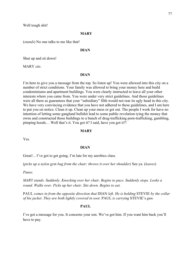Well tough shit!

## **MARY**

(*stands*) No one talks to me like that!

### **DIAN**

Shut up and sit down!

MARY *sits*.

## **DIAN**

I'm here to give you a message from the top. So listen up! You were allowed into this city on a number of strict conditions. Your family was allowed to bring your money here and build condominiums and apartment buildings. You were clearly instructed to leave all your other interests where you came from. You were under very strict guidelines. And those guidelines were all there as guarantees that your "subsidiary" filth would not rear its ugly head in this city. We have very convincing evidence that you have not adhered to these guidelines, and I am here to put you on notice. Clean it up. Clean up your mess or get out. The people I work for have no intention of letting some gangland bullshit lead to some public revelation tying the money that owns and constructed those buildings to a bunch of drug-trafficking porn-trafficking, gambling, pimping hoods… Well that's it. You got it? I said, have you got it?!

## **MARY**

Yes.

### **DIAN**

Great!... I've got to get going. I'm late for my aerobics class.

(*picks up a nylon gym bag from the chair; throws it over her shoulder)* See ya. (*leaves*)

*Pause.*

*MARY stands. Suddenly. Knocking over her chair. Begins to pace. Suddenly stops. Looks a round. Walks over. Picks up her chair. Sits down. Begins to eat.*

PAUL *comes in from the opposite direction that* DIAN *left. He is holding* STEVIE *by the collar of his jacket. They are both lightly covered in soot.* PAUL *is carrying* STEVIE's *gun.*

### **PAUL**

I've got a message for you. It concerns your son. We've got him. If you want him back you'll have to pay.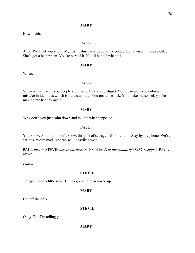## **MARY**

How much.

## **PAUL**

A lot. We'll let you know. My first instinct was to go to the police. But a wiser mind prevailed. She's got a better plan. You're part of it. You'll be told what it is.

## **MARY**

When.

## **PAUL**

When we're ready. You people are insane. Insane and stupid. You've made some colossal mistake in identities which is pure stupidity. You make me sick. You make me so sick you're making me healthy again.

## **MARY**

Why don't you just calm down and tell me what happened.

## **PAUL**

You know. And if you don't know, this pile of sewage will fill you in. Stay by the phone. We're serious. We're mad. And we're… heavily armed.

PAUL *throws* STEVIE *across the desk.* STEVIE *lands in the middle of MARY's supper.* PAUL *leaves*.

*Pause.* 

### **STEVIE**

Things turned a little sour. Things got kind of screwed up.

## **MARY**

Get off the desk.

## **STEVIE**

Okay. But I'm telling ya—

**MARY**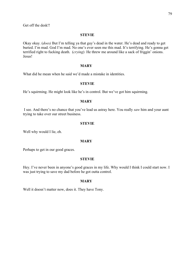Get off the desk!!

### **STEVIE**

Okay okay. (*does)* But I'm telling ya that guy's dead in the water. He's dead and ready to get buried. I'm mad. God I'm mad. No one's ever seen me this mad. It's terrifying. He's gonna get terrified right to fucking death. (*crying*) He threw me around like a sack of friggin' onions. Jesus!

### **MARY**

What did he mean when he said we'd made a mistake in identities.

### **STEVIE**

He's squirming. He might look like he's in control. But we've got him squirming.

## **MARY**

I see. And there's no chance that you've lead us astray here. You really *saw* him and your aunt trying to take over our street business.

### **STEVIE**

Well why would I lie, eh.

### **MARY**

Perhaps to get in our good graces.

## **STEVIE**

Hey. I've never been in anyone's good graces in my life. Why would I think I could start now. I was just trying to save my dad before he got outta control.

### **MARY**

Well it doesn't matter now, does it. They have Tony.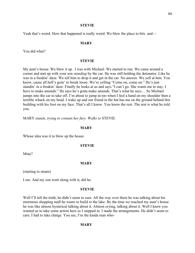#### **STEVIE**

Yeah that's weird. How that happened is really weird. We blew the place to bits and—

### **MARY**

You did what?

#### **STEVIE**

My aunt's house. We blew it up. I was with Michael. We started to run. We came around a corner and met up with your son *standing* by the car. He was still holding the detonator. Like he was in a freakin' daze. We tell him to drop it and get in the car. No answer. We yell at him. You know, cause all hell's goin' to break loose. We're yelling "Come on, come on." He's just standin' in a freakin' daze. Finally he looks at us and says "I can't go. She wants me to stay. I have to make amends." He says he's gotta make amends. That's what he says… So Michael jumps into the car to take off. I'm about to jump in too when I feel a hand on my shoulder then a terrible whack on my head. I wake up and our friend in the hat has me on the ground behind this building with his foot on my face. That's all I know. You know the rest. The rest is what he told you.

MARY *stands*, *trying to contain her fury. Walks to* STEVIE.

#### **MARY**

Whose idea was it to blow up the house.

#### **STEVIE**

Mine?

## **MARY**

(starting to steam)

I see. And my son went along with it, did he.

#### **STEVIE**

Well I'll tell the truth, he didn't seem to care. All the way over there he was talking about his enormous shopping mall he wants to build *in* the lake. By the time we reached my aunt's house he was like almost hysterical talking about it. Almost crying, talking about it. Well I knew you wanted us to take some action here so I stepped in. I made the arrangements. He didn't seem to care. I had to take charge. You see, I'm the kinda man who-

### **MARY**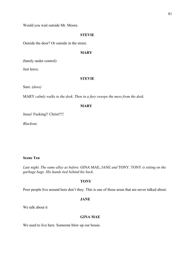Would you wait outside Mr. Moore.

#### **STEVIE**

Outside the door? Or outside in the street.

### **MARY**

(barely under control)

Just leave.

#### **STEVIE**

Sure. (*does)*

MARY *calmly walks to the desk. Then in a fury sweeps the mess from the desk.*

#### **MARY**

Jesus! Fucking!! Christ!!!!

*Blackout.*

## **Scene Ten**

*Late night. The same alley as before.* GINA MAE, JANE *and* TONY. TONY *is sitting on the garbage bags. His hands tied behind his back.*

## **TONY**

Poor people live around here don't they. This is one of those areas that are never talked about.

### **JANE**

We talk about it

## **GINA MAE**

We used to live here. Someone blew up our house.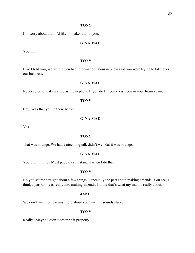### **TONY**

I'm sorry about that. I'd like to make it up to you.

## **GINA MAE**

You will.

### **TONY**

Like I told you, we were given bad information. Your nephew said you were trying to take over our business.

## **GINA MAE**

Never refer to that creature as my nephew. If you do I'll come visit you in your brain again.

## **TONY**

Hey. Was that you in there before.

## **GINA MAE**

Yes.

## **TONY**

That was strange. We had a nice long talk didn't we. But it was strange.

## **GINA MAE**

You didn't mind? Most people can't stand it when I do that.

#### **TONY**

No you set me straight about a few things. Especially the part about making amends. You see, I think a part of me is really into making amends. I think that's what my mall is really about.

## **JANE**

We don't want to hear any more about your mall. It sounds stupid.

#### **TONY**

Really? Maybe I didn't describe it property.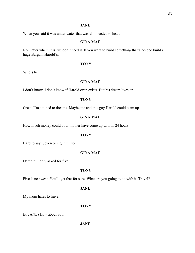## **JANE**

When you said it was under water that was all I needed to hear.

## **GINA MAE**

No matter where it is, we don't need it. If you want to build something that's needed build a huge Bargain Harold's.

### **TONY**

Who's he.

## **GINA MAE**

I don't know. I don't know if Harold even exists. But his dream lives on.

## **TONY**

Great. I'm attuned to dreams. Maybe me and this guy Harold could team up.

### **GINA MAE**

How much money could your mother have come up with in 24 hours.

#### **TONY**

Hard to say. Seven or eight million.

## **GINA MAE**

Damn it. I only asked for five.

### **TONY**

Five is no sweat. You'll get that for sure. What are you going to do with it. Travel?

## **JANE**

My mom hates to travel. .

## **TONY**

(*to* JANE) How about you.

## **JANE**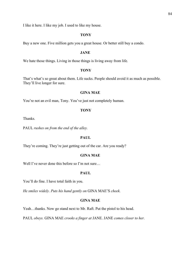I like it here. I like my job. I used to like my house.

## **TONY**

Buy a new one. Five million gets you a great house. Or better still buy a condo.

### **JANE**

We hate those things. Living in those things is living away from life.

### **TONY**

That's what's so great about them. Life sucks. People should avoid it as much as possible. They'll live longer for sure.

### **GINA MAE**

You're not an evil man, Tony. You've just not completely human.

### **TONY**

Thanks.

PAUL *rushes on from the end of the alley.*

# **PAUL**

They're coming. They're just getting out of the car. Are you ready?

## **GINA MAE**

Well I've never done this before so I'm not sure...

#### **PAUL**

You'll do fine. I have total faith in you.

*He smiles widely. Puts his hand gently on* GINA MAE'S *cheek.*

## **GINA MAE**

Yeah…thanks. Now go stand next to Mr. Raft. Put the pistol to his head.

PAUL *obeys.* GINA MAE *crooks a finger at* JANE. JANE *comes closer to her.*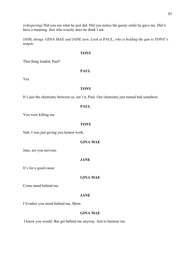*(whispering)* Did you see what he just did. Did you notice the gooey smile he gave me. Did it have a meaning. Just who exactly does he think I am.

JANE *shrugs.* GINA MAE *and* JANE *turn. Look at* PAUL, *who is holding the gun to* TONY's *temple.*

## **TONY**

That thing loaded, Paul?

## **PAUL**

Yes.

## **TONY**

It's just the chemistry between us, isn't it, Paul. Our chemistry just turned bad somehow.

## **PAUL**

You were killing me.

### **TONY**

Nah. I was just giving you honest work.

## **GINA MAE**

Jane, are you nervous.

## **JANE**

It's for a good cause.

**GINA MAE**

Come stand behind me.

# **JANE**

I'd rather you stood behind me, Mom.

## **GINA MAE**

I know you would. But get behind me anyway. Just to humour me.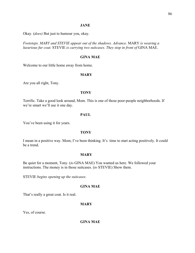### **JANE**

Okay. (*does)* But just to humour you, okay*.*

*Footsteps. MARY and STEVIE appear out of the shadows. Advance.* MARY *is wearing a luxurious fur coat.* STEVIE *is carrying two suitcases. They stop in front of* GINA MAE.

### **GINA MAE**

Welcome to our little home away from home.

## **MARY**

Are you all right, Tony.

#### **TONY**

Terrific. Take a good look around, Mom. This is one of those poor-people neighborhoods. If we're smart we'll use it one day.

## **PAUL**

You've been using it for years.

## **TONY**

I mean in a positive way. Mom, I've been thinking. It's time to start acting positively. It could be a trend.

## **MARY**

Be quiet for a moment, Tony. (*to* GINA MAE) You wanted us here. We followed your instructions. The money is in those suitcases. (*to* STEVIE) Show them.

STEVIE *begins opening up the suitcases.*

## **GINA MAE**

That's really a great coat. Is it real.

## **MARY**

Yes, of course.

## **GINA MAE**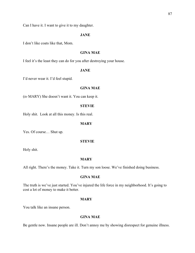### **JANE**

I don't like coats like that, Mom.

## **GINA MAE**

I feel it's the least they can do for you after destroying your house.

### **JANE**

I'd never wear it. I'd feel stupid.

### **GINA MAE**

(*to* MARY) She doesn't want it. You can keep it.

### **STEVIE**

Holy shit. Look at all this money. Is this real.

## **MARY**

Yes. Of course… Shut up.

### **STEVIE**

Holy shit.

### **MARY**

All right. There's the money. Take it. Turn my son loose. We've finished doing business.

### **GINA MAE**

The truth is we've just started. You've injured the life force in my neighborhood. It's going to cost a lot of money to make it better.

### **MARY**

You talk like an insane person.

# **GINA MAE**

Be gentle now. Insane people are ill. Don't annoy me by showing disrespect for genuine illness.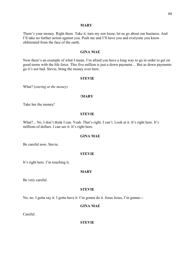#### **MARY**

There's your money. Right there. Take it, turn my son loose, let us go about our business. And I'll take no further action against you. Push me and I'll have you and everyone you know obliterated from the face of the earth.

## **GINA MAE**

Now there's an example of what I mean. I'm afraid you have a long way to go in order to get on good terms with the life force. This five million is just a down payment… But as down payments go it's not bad. Stevie, bring the money over here.

#### **STEVIE**

What? (*staring at the money)*

#### **\MARY**

Take her the money!

#### **STEVIE**

What?... No, I don't think I can. Yeah. That's right. I can't. Look at it. It's right here. It's millions of dollars. I can see it. It's right here.

### **GINA MAE**

Be careful now, Stevie.

#### **STEVIE**

It's right here. I'm touching it.

#### **MARY**

Be very careful.

#### **STEVIE**

No, no. I gotta say it. I gotta have it. I'm gonna do it. Jesus Jesus, I'm gonna---

## **GINA MAE**

Careful.

**STEVIE**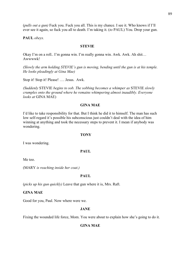(*pulls out a gun)* Fuck you. Fuck you all. This is my chance. I see it. Who knows if I'll ever see it again, so fuck you all to death. I'm taking it. (*to* PAUL) You. Drop your gun.

**PAUL** *obeys.* 

#### **STEVIE**

Okay I'm on a roll.. I'm gonna win. I'm really gonna win. Awk. Awk. Ah shit… Awwwwk!

*(Slowly the arm holding STEVIE's gun is moving, bending until the gun is at his temple. He looks pleadingly at Gina Mae)*

Stop it! Stop it! Please! …. Jesus. Awk.

*(Suddenly* STEVIE *begins to sob. The sobbing becomes a whimper as* STEVIE *slowly crumples onto the ground where he remains whimpering almost inaudibly. Everyone looks at* GINA MAE)

### **GINA MAE**

I'd like to take responsibility for that. But I think he did it to himself. The man has such low self-regard it's possible his subconscious just couldn't deal with the idea of him winning at anything and took the necessary steps to prevent it. I mean if anybody was wondering.

#### **TONY**

I was wondering.

#### **PAUL**

Me too.

(MARY *is reaching inside her coat.)*

### **PAUL**

(*picks up his gun quickly)* Leave that gun where it is, Mrs. Raft.

## **GINA MAE**

Good for you, Paul. Now where were we.

### **JANE**

Fixing the wounded life force, Mom. You were about to explain how she's going to do it.

#### **GINA MAE**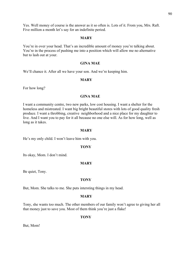Yes. Well money of course is the answer as it so often is. Lots of it. From you, Mrs. Raft. Five million a month let's say for an indefinite period.

#### **MARY**

You're in over your head. That's an incredible amount of money you're talking about. You're in the process of pushing me into a position which will allow me no alternative but to lash out at your.

## **GINA MAE**

We'll chance it. After all we have your son. And we're keeping him.

## **MARY**

For how long?

#### **GINA MAE**

I want a community centre, two new parks, low cost housing. I want a shelter for the homeless and mistreated. I want big bright beautiful stores with lots of good quality fresh produce. I want a throbbing, creative neighborhood and a nice place for my daughter to live. And I want you to pay for it all because no one else will. As for how long, well as long as it takes.

### **MARY**

He's my only child. I won't leave him with you.

#### **TONY**

Its okay, Mom. I don't mind.

## **MARY**

Be quiet, Tony.

#### **TONY**

But, Mom. She talks to me. She puts intersting things in my head.

#### **MARY**

Tony, she wants too much. The other members of our family won't agree to giving her all that money just to save you. Most of them think you're just a flake!

#### **TONY**

But, Mom!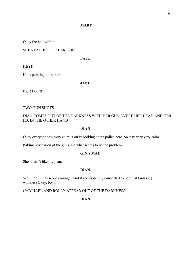## **MARY**

Okay the hell with it!

SHE REACHES FOR HER GUN.

**PAUL**

HEY!!

He is pointing his at her.

**JANE**

Paul! Don't!!

TWO GUN SHOTS

# DIAN COMES OUT OF THE DARKNESS WITH HER GUN OVERE HER HEAD AND HER I.D. IN THE OTHER HAND

## **DIAN**

Okay everyone stay very calm. You're looking at the police here. So stay very very calm.

(taking possession of the guns) So what seems to be the problem?

## **GINA MAE**

She doesn't like my plan.

## **DIAN**

Well I do. It has scope courage. And it seems deeply connected to populist fantasy. ( whistles) Okay, boys!

( MICHAEL AND ROLLY APPEAR OUT OF THE DARKNESS)

**DIAN**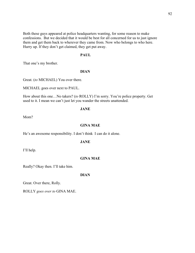Both these guys appeared at police headquarters wanting, for some reason to make confessions. But we decided that it would be best for all concerned for us to just ignore them and get them back to wherever they came from. Now who belongs to who here. Hurry up. If they don't get claimed, they get put away.

## **PAUL**

That one's my brother.

#### **DIAN**

Great. (*to* MICHAEL) You over there.

MICHAEL goes over next to PAUL.

How about this one…No takers? (*to* ROLLY) I'm sorry. You're police property. Get used to it. I mean we can't just let you wander the streets unattended.

### **JANE**

Mom?

## **GINA MAE**

He's an awesome responsibility. I don't think I can do it alone.

### **JANE**

I'll help.

## **GINA MAE**

Really? Okay then. I'll take him.

## **DIAN**

Great. Over there, Rolly.

ROLLY *goes over to* GINA MAE.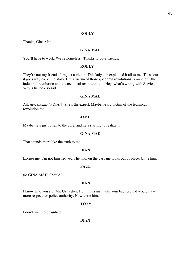### **ROLLY**

Thanks, Gina Mae.

### **GINA MAE**

You'll have to work. We're homeless. Thanks to your friends.

#### **ROLLY**

They're not my friends. I'm just a victim. This lady cop explained it all to me. Turns out it goes way back in history. I'm a victim of those goddamn revolutions. You know, the industrial revolution and the technical revolution too. Hey, what's wrong with Stevie. Why's he look so sad.

### **GINA MAE**

Ask *her. (points to* DIAN) She's the expert. Maybe he's a victim of the technical revolution too.

### **JANE**

Maybe he's just rotten to the core, and he's starting to realize it.

### **GINA MAE**

That sounds more like the truth to me.

## **DIAN**

Excuse me. I'm not finished yet. The man on the garbage looks out of place. Untie him.

#### **PAUL**

(*to* GINA MAE) Should I.

### **DIAN**

I know who you are, Mr. Gallagher. I'd think a man with your background would have more respect for police authority. Now untie him.

#### **TONY**

I don't want to be untied.

**DIAN**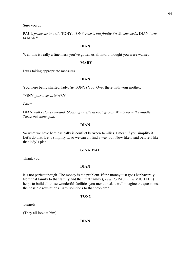Sure you do.

PAUL *proceeds to untie* TONY. TONY *resists but finally* PAUL *succeeds*. DIAN *turns to* MARY.

## **DIAN**

Well this is really a fine mess you've gotten us all into. I thought you were warned.

### **MARY**

I was taking appropriate measures.

### **DIAN**

You were being shafted, lady. (*to* TONY) You. Over there with your mother.

TONY *goes over to* MARY.

*Pause.* 

DIAN *walks slowly around. Stopping briefly at each group. Winds up in the middle. Takes out some gum.* 

## **DIAN**

So what we have here basically is conflict between families. I mean if you simplify it. Let's do that. Let's simplify it, so we can all find a way out. Now like I said before I like that lady's plan.

## **GINA MAE**

Thank you.

## **DIAN**

It's not perfect though. The money is the problem. If the money just goes haphazardly from that family to that family and then that family (*points to* PAUL *and* MICHAEL) helps to build all those wonderful facilities you mentioned... well imagine the questions, the possible revelations. Any solutions to that problem?

## **TONY**

Tunnels!

(They all look at him)

## **DIAN**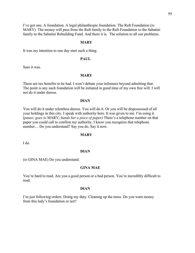I've got one. A foundation. A legal philanthropic foundation. The Raft Foundation (*to* MARY) The money will pass from the Raft family to the Raft Foundation to the Sabatini family to the Sabatini Rebuilding Fund. And there it is. The solution to all our problems.

### **MARY**

It was my intention to one day start such a thing.

## **PAUL**

Sure it was.

### **MARY**

There are tax benefits to be had. I won't debate your inference beyond admitting that. The point is any such foundation will be initiated in good time of my own free will. I will not do it under duress.

## **DIAN**

You will do it under relentless duress. You will do it. Or you will be dispossessed of all your holdings in this city. I speak with authority here. It was given to me. I'm using it. (*pause; goes to* MARY; *hands her a piece of paper)* There's a telephone number on that paper you could call to confirm my authority. I know you recognize that telephone number… Do you understand? Say you do. Say it now.

#### **MARY**

I do.

## **DIAN**

(*to* GINA MAE) Do you understand.

### **GINA MAE**

You're hard to read. Are you a good person or a bad person. You're incredibly difficult to read.

## **DIAN**

I'm just following orders. Doing my duty. Cleaning up the mess. Do you want money from this lady's foundation or not?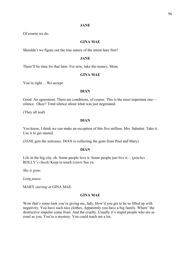### **JANE**

Of course we do.

### **GINA MAE**

Shouldn't we figure out the true nature of the intent here first?

### **JANE**

There'll be time for that later. For now, take the money, Mom.

## **GINA MAE**

You're right… We accept.

#### **DIAN**

Good. An agreement. There are conditions, of course. This is the most important one silence. Okay? Total silence about what was just negotiated.

(They all nod)

## **DIAN**

You know, I think we can make an exception of this five million, Mrs. Sabatini. Take it. Use it to get started.

(JANE gets the suitcases. DIAN is collecting the guns from Paul and Mary)

### **DIAN**

Life in the big city, eh. Some people love it. Some people just live it… (*pinches* ROLLY's *cheek)* Keep in touch (*starts* See ya.

*She is gone.*

*Long pause.* 

MARY *starting at* GINA MAE.

## **GINA MAE**

Wow that's some look you're giving me, lady. How'd you get to be so filled up with negativity. You have such nice clothes. Apparently you have a big family. Where' the destructive impulse come from. And the cruelty. Usually it's stupid people who are as cruel as you. You're a mystery. You could teach me a lot.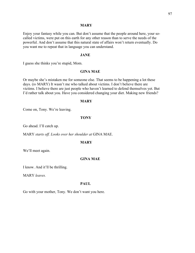#### **MARY**

Enjoy your fantasy while you can. But don't assume that the people around here, your socalled victims, were put on this earth for any other reason than to serve the needs of the powerful. And don't assume that this natural state of affairs won't return eventually. Do you want me to repeat that in language you can understand.

### **JANE**

I guess she thinks you're stupid, Mom.

### **GINA MAE**

Or maybe she's mistaken me for someone else. That seems to be happening a lot these days. (*to* MARY) It wasn't me who talked about victims. I don't believe there are victims. I believe there are just people who haven't learned to defend themselves yet. But I'd rather talk about you. Have you considered changing your diet. Making new friends?

#### **MARY**

Come on, Tony. We're leaving.

### **TONY**

Go ahead. I'll catch up.

MARY *starts off. Looks over her shoulder at* GINA MAE.

## **MARY**

We'll meet again.

## **GINA MAE**

I know. And it'll be thrilling.

MARY *leaves.*

## **PAUL**

Go with your mother, Tony. We don't want you here.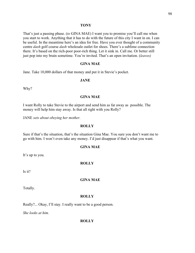#### **TONY**

That's just a passing phase. (*to* GINA MAE) I want you to promise you'll call me when you start to work. Anything that it has to do with the future of this city I want in on. I can be useful. In the meantime here's an idea for free. Have you ever thought of a community centre *dash* golf course *dash* wholesale outlet for shoes. There's a sublime connection there. It's based on the rich-poor poor-rich thing. Let it sink in. Call me. Or better still just pop into my brain sometime. You're invited. That's an open invitation. (*leaves)*

### **GINA MAE**

Jane. Take 10,000 dollars of that money and put it in Stevie's pocket.

### **JANE**

Why?

## **GINA MAE**

I want Rolly to take Stevie to the airport and send him as far away as possible. The money will help him stay away. Is that all right with you Rolly?

JANE *sets about obeying her mother.*

### **ROLLY**

Sure if that's the situation, that's the situation Gina Mae. You sure you don't want me to go with him. I won't even take any money. I'd just disappear if that's what you want.

#### **GINA MAE**

It's up to you.

## **ROLLY**

Is it?

### **GINA MAE**

Totally.

### **ROLLY**

Really?... Okay, I'll stay. I really want to be a good person.

*She looks at him.*

#### **ROLLY**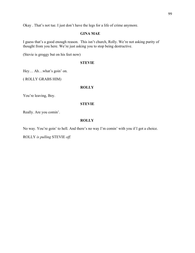Okay . That's not tue. I just don't have the legs for a life of crime anymore.

## **GINA MAE**

I guess that's a good enough reason. This isn't church, Rolly. We're not asking purity of thought from you here. We're just asking you to stop being destructive.

(Stevie is groggy but on his feet now)

### **STEVIE**

Hey… Ah…what's goin' on.

( ROLLY GRABS HIM)

## **ROLLY**

You're leaving, Boy.

### **STEVIE**

Really. Are you comin'.

## **ROLLY**

No way. You're goin' to hell. And there's no way I'm comin' with you if I got a choice.

ROLLY *is pulling* STEVIE *off.*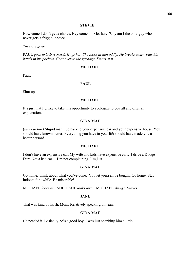#### **STEVIE**

How come I don't get a choice. Hey come on. Get fair. Why am I the only guy who never gets a friggin' choice.

*They are gone*.

PAUL *goes to* GINA MAE. *Hugs her. She looks at him oddly. He breaks away. Puts his hands in his pockets. Goes over to the garbage. Stares at it.*

### **MICHAEL**

Paul?

## **PAUL**

Shut up.

## **MICHAEL**

It's just that I'd like to take this opportunity to apologize to you all and offer an explanation.

### **GINA MAE**

(*turns to him)* Stupid man! Go back to your expensive car and your expensive house. You should have known better. Everything you have in your life should have made you a better person!

## **MICHAEL**

I don't have an expensive car. My wife and kids have expensive cars. I drive a Dodge Dart. Not a bad car… I'm not complaining. I'm just--

### **GINA MAE**

Go home. Think about what you've done. You let yourself be bought. Go home. Stay indoors for awhile. Be miserable!

MICHAEL *looks at* PAUL. PAUL *looks away.* MICHAEL *shrugs. Leaves.* 

### **JANE**

That was kind of harsh, Mom. Relatively speaking, I mean.

## **GINA MAE**

He needed it. Basically he's a good boy. I was just spanking him a little.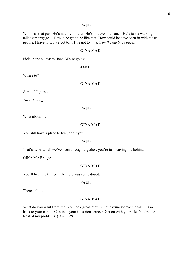### **PAUL**

Who was that guy. He's not my brother. He's not even human... He's just a walking talking mortgage… How'd he get to be like that. How could he have been in with those people. I have to… I've got to… I've got to--- (*sits on the garbage bags).* 

## **GINA MAE**

Pick up the suitcases, Jane. We're going .

## **JANE**

Where to?

### **GINA MAE**

A motel I guess.

*They start off.*

### **PAUL**

What about me.

## **GINA MAE**

You still have a place to live, don't you.

## **PAUL**

That's it? After all we've been through together, you're just leaving me behind.

GINA MAE *stops.*

## **GINA MAE**

You'll live. Up till recently there was some doubt.

### **PAUL**

There still is.

## **GINA MAE**

What do you want from me. You look great. You're not having stomach pains… Go back to your condo. Continue your illustrious career. Get on with your life. You're the least of my problems. (*starts off)*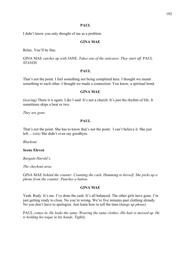## **PAUL**

I didn't know you only thought of me as a problem.

## **GINA MAE**

Relax. You'll be fine.

GINA MAE *catches up with* JANE. *Takes one of the suitcases. They start off.* PAUL *STANDS.*

### **PAUL**

That's not the point. I feel something not being completed here. I thought we meant something to each other. I thought we made a connection. You know, a spiritual bond.

### **GINA MAE**

(*leaving)* There it is again. Like I said. It's not a church. It's just the rhythm of life. It sometimes skips a beat or two.

*They are gone.*

## **PAUL**

That's not the point. She has to know that's not the point. I can't believe it. She just left… (*sits)* She didn't even say goodbyes.

*Blackout.* 

### **Scene Eleven**

*Bargain Harold's.*

*The checkout area.*

GINA MAE *behind the counter. Counting the cash. Humming to herself. She picks up a phone from the counter. Punches a button.* 

### **GINA MAE**

Yeah. Rudy. It's me. I've done the cash. It's all balanced. The other girls have gone. I'm just getting ready to close. No you're wrong. We're five minutes past clothing already. No you don't have to apologize. Just learn how to tell the time (*hangs up phone)*

PAUL *comes in. He looks the same. Wearing the same clothes*. *His hair is messed up. He is holding his toque in his hands. Tightly.*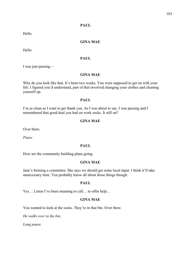# **PAUL**

Hello.

## **GINA MAE**

Hello.

## **PAUL**

I was just passing—

## **GINA MAE**

Why do you look like that. It's been two weeks. You were supposed to get on with your life. I figured you'd understand, part of that involved changing your clothes and cleaning yourself up.

# **PAUL**

I'm as clean as I want to get thank you. As I was about to say. I was passing and I remembered that good deal you had on work socks. It still on?

## **GINA MAE**

Over there.

*Pause*

### **PAUL**

How are the community building plans going.

## **GINA MAE**

Jane's forming a committee. She says we should get some local input. I think it'll take unnecessary time. You probably know all about those things though.

## **PAUL**

Yes… Listen I've been meaning to call… to offer help…

# **GINA MAE**

You wanted to look at the socks. They're in that bin. Over there.

*He walks over to the bin.*

*Long pause.*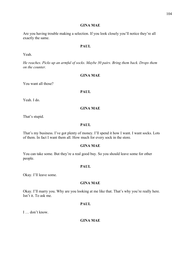## **GINA MAE**

Are you having trouble making a selection. If you look closely you'll notice they're all exactly the same.

## **PAUL**

Yeah.

*He reaches. Picks up an armful of socks. Maybe 30 pairs. Bring them back. Drops them on the counter.*

## **GINA MAE**

You want all those?

## **PAUL**

Yeah. I do.

## **GINA MAE**

That's stupid.

## **PAUL**

That's my business. I've got plenty of money. I'll spend it how I want. I want socks. Lots of them. In fact I want them all. How much for every sock in the store.

### **GINA MAE**

You can take some. But they're a real good buy. So you should leave some for other people.

### **PAUL**

Okay. I'll leave some.

# **GINA MAE**

Okay. I'll marry you. Why are you looking at me like that. That's why you're really here. Isn't it. To ask me.

## **PAUL**

I … don't know.

**GINA MAE**